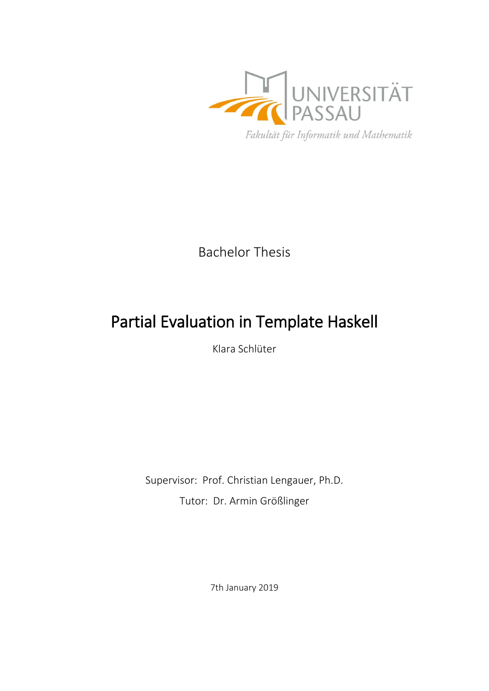

Bachelor Thesis

# Partial Evaluation in Template Haskell

Klara Schlüter

Supervisor: Prof. Christian Lengauer, Ph.D. Tutor: Dr. Armin Größlinger

7th January 2019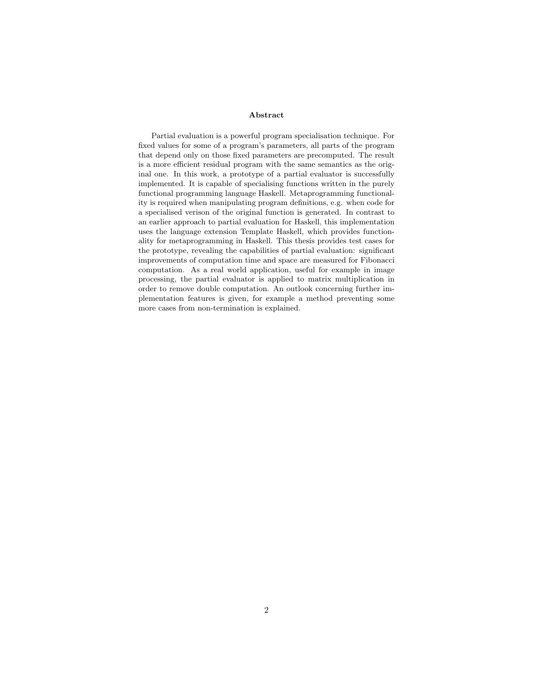#### Abstract

Partial evaluation is a powerful program specialisation technique. For fixed values for some of a program's parameters, all parts of the program that depend only on those fixed parameters are precomputed. The result is a more efficient residual program with the same semantics as the original one. In this work, a prototype of a partial evaluator is successfully implemented. It is capable of specialising functions written in the purely functional programming language Haskell. Metaprogramming functionality is required when manipulating program definitions, e.g. when code for a specialised verison of the original function is generated. In contrast to an earlier approach to partial evaluation for Haskell, this implementation uses the language extension Template Haskell, which provides functionality for metaprogramming in Haskell. This thesis provides test cases for the prototype, revealing the capabilities of partial evaluation: significant improvements of computation time and space are measured for Fibonacci computation. As a real world application, useful for example in image processing, the partial evaluator is applied to matrix multiplication in order to remove double computation. An outlook concerning further implementation features is given, for example a method preventing some more cases from non-termination is explained.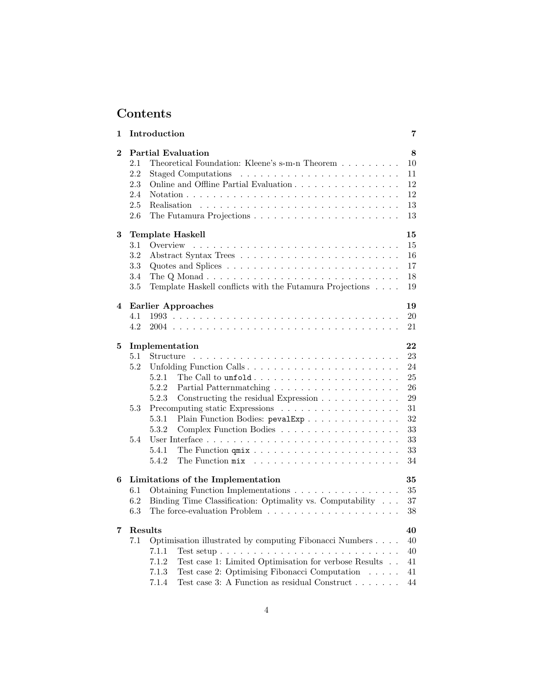## Contents

| 1        | Introduction                                                                                                                                                                                                                                                                                                                                                                                                              |  |  |  |
|----------|---------------------------------------------------------------------------------------------------------------------------------------------------------------------------------------------------------------------------------------------------------------------------------------------------------------------------------------------------------------------------------------------------------------------------|--|--|--|
| $\bf{2}$ | <b>Partial Evaluation</b><br>8<br>2.1<br>Theoretical Foundation: Kleene's s-m-n Theorem $\dots \dots \dots$<br>10<br>2.2<br>11<br>12<br>2.3<br>Online and Offline Partial Evaluation<br>2.4<br>12<br>2.5<br>13<br>2.6<br>13                                                                                                                                                                                               |  |  |  |
| 3        | Template Haskell<br>15<br>3.1<br>Overview<br>15<br>3.2<br>16<br>17<br>3.3<br>3.4<br>The Q Monad $\ldots \ldots \ldots \ldots \ldots \ldots \ldots \ldots \ldots \ldots$<br>18<br>Template Haskell conflicts with the Futamura Projections<br>$3.5\,$<br>19                                                                                                                                                                |  |  |  |
| 4        | <b>Earlier Approaches</b><br>19<br>20<br>4.1<br>4.2<br>21                                                                                                                                                                                                                                                                                                                                                                 |  |  |  |
| 5        | 22<br>Implementation<br>23<br>5.1<br>Structure<br>5.2<br>24<br>Unfolding Function Calls<br>5.2.1<br>25<br>The Call to $\texttt{unfold} \ldots \ldots \ldots \ldots \ldots \ldots \ldots \ldots$<br>5.2.2<br>26<br>5.2.3<br>Constructing the residual Expression<br>29<br>31<br>5.3<br>Plain Function Bodies: pevalExp<br>32<br>5.3.1<br>5.3.2<br>Complex Function Bodies<br>33<br>33<br>5.4<br>33<br>5.4.1<br>5.4.2<br>34 |  |  |  |
| 6        | Limitations of the Implementation<br>35<br>6.1<br>Obtaining Function Implementations<br>35<br>6.2<br>Binding Time Classification: Optimality vs. Computability $\ldots$<br>37<br>6.3<br>The force-evaluation Problem $\ldots \ldots \ldots \ldots \ldots \ldots \ldots$<br>38                                                                                                                                             |  |  |  |
| 7        | Results<br>40<br>Optimisation illustrated by computing Fibonacci Numbers<br>7.1<br>40<br>7.1.1<br>40<br>Test case 1: Limited Optimisation for verbose Results $\,$ . $\,$ .<br>7.1.2<br>41<br>Test case 2: Optimising Fibonacci Computation<br>7.1.3<br>41<br>$\sim$<br>Test case 3: A Function as residual Construct<br>44<br>7.1.4                                                                                      |  |  |  |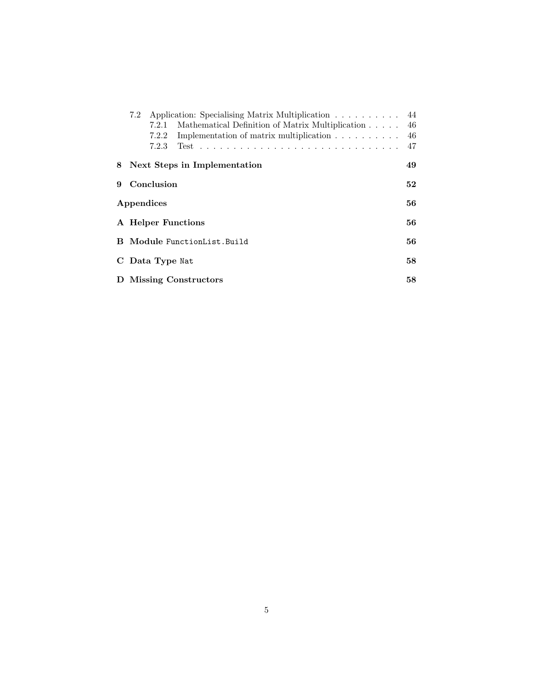| 7.2                                 |       | Application: Specialising Matrix Multiplication 44                       |  |  |
|-------------------------------------|-------|--------------------------------------------------------------------------|--|--|
|                                     | 7.2.1 | Mathematical Definition of Matrix Multiplication 46                      |  |  |
|                                     | 7.2.2 | Implementation of matrix multiplication $\ldots \ldots \ldots \ldots$ 46 |  |  |
|                                     | 7.2.3 |                                                                          |  |  |
| 8 Next Steps in Implementation      |       |                                                                          |  |  |
| 9 Conclusion                        |       |                                                                          |  |  |
| Appendices                          |       |                                                                          |  |  |
| A Helper Functions                  |       |                                                                          |  |  |
| <b>B</b> Module FunctionList. Build |       |                                                                          |  |  |
| C Data Type Nat                     |       |                                                                          |  |  |
| D Missing Constructors              |       |                                                                          |  |  |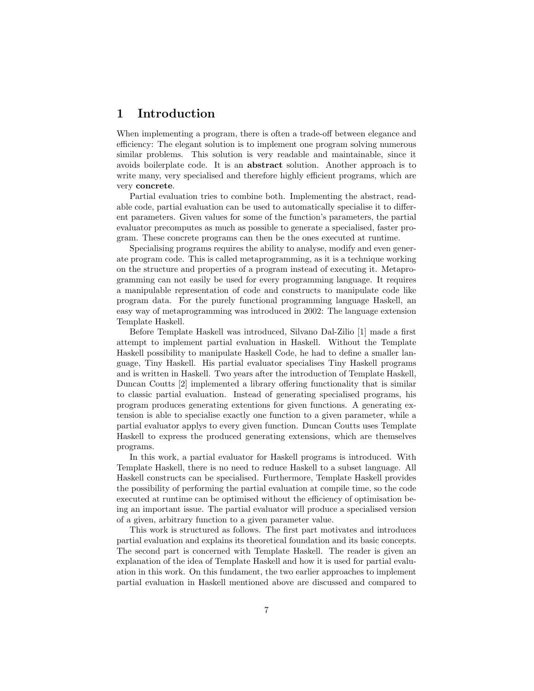### 1 Introduction

When implementing a program, there is often a trade-off between elegance and efficiency: The elegant solution is to implement one program solving numerous similar problems. This solution is very readable and maintainable, since it avoids boilerplate code. It is an abstract solution. Another approach is to write many, very specialised and therefore highly efficient programs, which are very concrete.

Partial evaluation tries to combine both. Implementing the abstract, readable code, partial evaluation can be used to automatically specialise it to different parameters. Given values for some of the function's parameters, the partial evaluator precomputes as much as possible to generate a specialised, faster program. These concrete programs can then be the ones executed at runtime.

Specialising programs requires the ability to analyse, modify and even generate program code. This is called metaprogramming, as it is a technique working on the structure and properties of a program instead of executing it. Metaprogramming can not easily be used for every programming language. It requires a manipulable representation of code and constructs to manipulate code like program data. For the purely functional programming language Haskell, an easy way of metaprogramming was introduced in 2002: The language extension Template Haskell.

Before Template Haskell was introduced, Silvano Dal-Zilio [1] made a first attempt to implement partial evaluation in Haskell. Without the Template Haskell possibility to manipulate Haskell Code, he had to define a smaller language, Tiny Haskell. His partial evaluator specialises Tiny Haskell programs and is written in Haskell. Two years after the introduction of Template Haskell, Duncan Coutts [2] implemented a library offering functionality that is similar to classic partial evaluation. Instead of generating specialised programs, his program produces generating extentions for given functions. A generating extension is able to specialise exactly one function to a given parameter, while a partial evaluator applys to every given function. Duncan Coutts uses Template Haskell to express the produced generating extensions, which are themselves programs.

In this work, a partial evaluator for Haskell programs is introduced. With Template Haskell, there is no need to reduce Haskell to a subset language. All Haskell constructs can be specialised. Furthermore, Template Haskell provides the possibility of performing the partial evaluation at compile time, so the code executed at runtime can be optimised without the efficiency of optimisation being an important issue. The partial evaluator will produce a specialised version of a given, arbitrary function to a given parameter value.

This work is structured as follows. The first part motivates and introduces partial evaluation and explains its theoretical foundation and its basic concepts. The second part is concerned with Template Haskell. The reader is given an explanation of the idea of Template Haskell and how it is used for partial evaluation in this work. On this fundament, the two earlier approaches to implement partial evaluation in Haskell mentioned above are discussed and compared to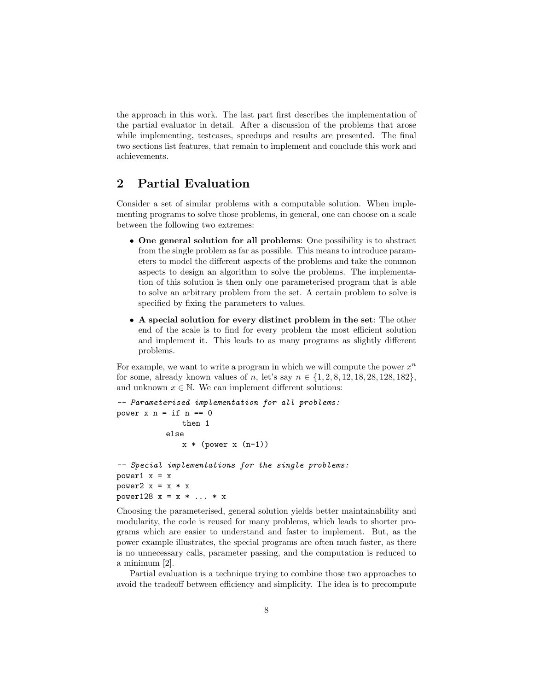the approach in this work. The last part first describes the implementation of the partial evaluator in detail. After a discussion of the problems that arose while implementing, testcases, speedups and results are presented. The final two sections list features, that remain to implement and conclude this work and achievements.

### 2 Partial Evaluation

Consider a set of similar problems with a computable solution. When implementing programs to solve those problems, in general, one can choose on a scale between the following two extremes:

- One general solution for all problems: One possibility is to abstract from the single problem as far as possible. This means to introduce parameters to model the different aspects of the problems and take the common aspects to design an algorithm to solve the problems. The implementation of this solution is then only one parameterised program that is able to solve an arbitrary problem from the set. A certain problem to solve is specified by fixing the parameters to values.
- A special solution for every distinct problem in the set: The other end of the scale is to find for every problem the most efficient solution and implement it. This leads to as many programs as slightly different problems.

For example, we want to write a program in which we will compute the power  $x^n$ for some, already known values of n, let's say  $n \in \{1, 2, 8, 12, 18, 28, 128, 182\}$ , and unknown  $x \in \mathbb{N}$ . We can implement different solutions:

```
-- Parameterised implementation for all problems:
power x n = if n == 0then 1
          else
              x * (power x (n-1))-- Special implementations for the single problems:
power1 x = xpower2 x = x * xpower128 x = x * ... * x
```
Choosing the parameterised, general solution yields better maintainability and modularity, the code is reused for many problems, which leads to shorter programs which are easier to understand and faster to implement. But, as the power example illustrates, the special programs are often much faster, as there is no unnecessary calls, parameter passing, and the computation is reduced to a minimum [2].

Partial evaluation is a technique trying to combine those two approaches to avoid the tradeoff between efficiency and simplicity. The idea is to precompute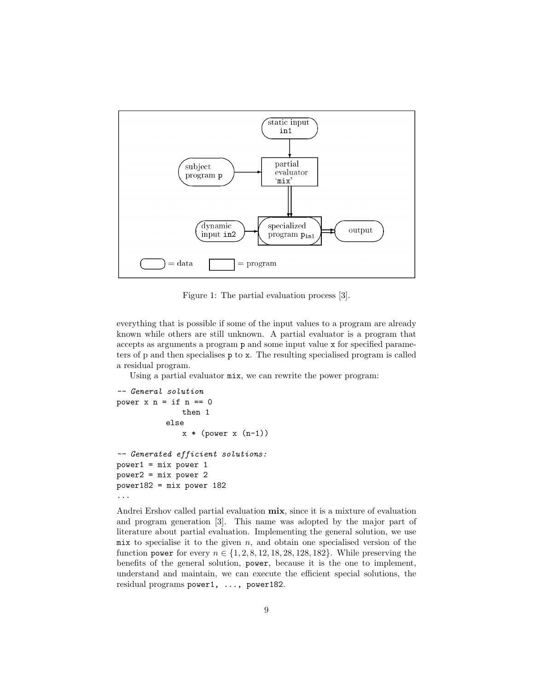

Figure 1: The partial evaluation process [3].

everything that is possible if some of the input values to a program are already known while others are still unknown. A partial evaluator is a program that accepts as arguments a program p and some input value x for specified parameters of p and then specialises p to x. The resulting specialised program is called a residual program.

Using a partial evaluator mix, we can rewrite the power program:

```
-- General solution
power x n = if n == 0then 1
           else
              x * (power x (n-1))-- Generated efficient solutions:
power1 = mix power 1
power2 = mix power 2
power182 = mix power 182
...
```
Andrei Ershov called partial evaluation  $mix$ , since it is a mixture of evaluation and program generation [3]. This name was adopted by the major part of literature about partial evaluation. Implementing the general solution, we use mix to specialise it to the given  $n$ , and obtain one specialised version of the function power for every  $n \in \{1, 2, 8, 12, 18, 28, 128, 182\}$ . While preserving the benefits of the general solution, power, because it is the one to implement, understand and maintain, we can execute the efficient special solutions, the residual programs power1, ..., power182.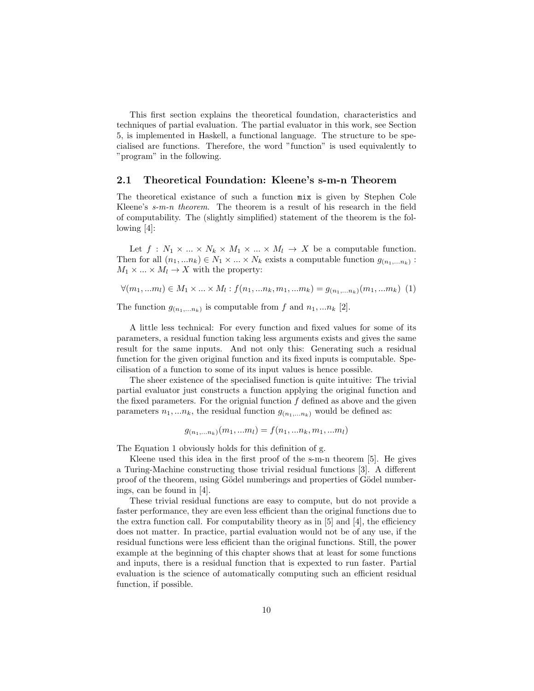This first section explains the theoretical foundation, characteristics and techniques of partial evaluation. The partial evaluator in this work, see Section 5, is implemented in Haskell, a functional language. The structure to be specialised are functions. Therefore, the word "function" is used equivalently to "program" in the following.

#### 2.1 Theoretical Foundation: Kleene's s-m-n Theorem

The theoretical existance of such a function mix is given by Stephen Cole Kleene's s-m-n theorem. The theorem is a result of his research in the field of computability. The (slightly simplified) statement of the theorem is the following [4]:

Let  $f: N_1 \times ... \times N_k \times M_1 \times ... \times M_l \rightarrow X$  be a computable function. Then for all  $(n_1, ... n_k) \in N_1 \times ... \times N_k$  exists a computable function  $g_{(n_1,...n_k)}$ :  $M_1 \times ... \times M_l \rightarrow X$  with the property:

$$
\forall (m_1, \dots m_l) \in M_1 \times \dots \times M_l : f(n_1, \dots n_k, m_1, \dots m_k) = g_{(n_1, \dots n_k)}(m_1, \dots m_k)
$$
 (1)

The function  $g_{(n_1,...n_k)}$  is computable from f and  $n_1,...n_k$  [2].

A little less technical: For every function and fixed values for some of its parameters, a residual function taking less arguments exists and gives the same result for the same inputs. And not only this: Generating such a residual function for the given original function and its fixed inputs is computable. Specilisation of a function to some of its input values is hence possible.

The sheer existence of the specialised function is quite intuitive: The trivial partial evaluator just constructs a function applying the original function and the fixed parameters. For the orignial function  $f$  defined as above and the given parameters  $n_1, ..., n_k$ , the residual function  $g_{(n_1,...n_k)}$  would be defined as:

$$
g_{(n_1,...n_k)}(m_1,...m_l) = f(n_1,...n_k,m_1,...m_l)
$$

The Equation 1 obviously holds for this definition of g.

Kleene used this idea in the first proof of the s-m-n theorem [5]. He gives a Turing-Machine constructing those trivial residual functions [3]. A different proof of the theorem, using Gödel numberings and properties of Gödel numberings, can be found in [4].

These trivial residual functions are easy to compute, but do not provide a faster performance, they are even less efficient than the original functions due to the extra function call. For computability theory as in  $[5]$  and  $[4]$ , the efficiency does not matter. In practice, partial evaluation would not be of any use, if the residual functions were less efficient than the original functions. Still, the power example at the beginning of this chapter shows that at least for some functions and inputs, there is a residual function that is expexted to run faster. Partial evaluation is the science of automatically computing such an efficient residual function, if possible.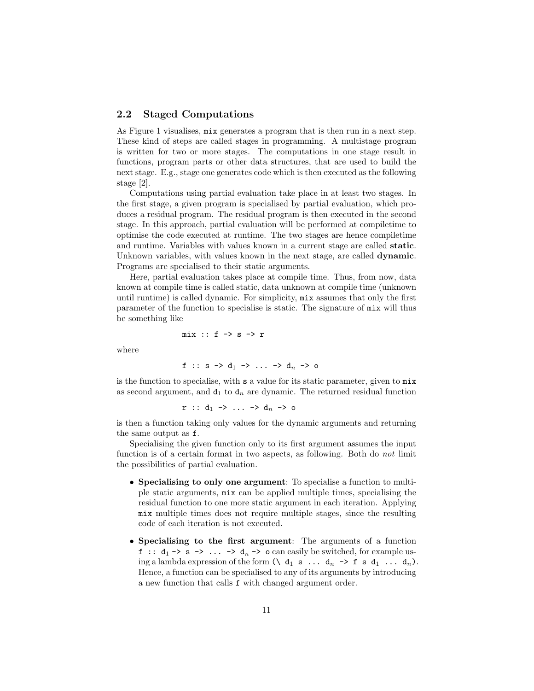#### 2.2 Staged Computations

As Figure 1 visualises, mix generates a program that is then run in a next step. These kind of steps are called stages in programming. A multistage program is written for two or more stages. The computations in one stage result in functions, program parts or other data structures, that are used to build the next stage. E.g., stage one generates code which is then executed as the following stage [2].

Computations using partial evaluation take place in at least two stages. In the first stage, a given program is specialised by partial evaluation, which produces a residual program. The residual program is then executed in the second stage. In this approach, partial evaluation will be performed at compiletime to optimise the code executed at runtime. The two stages are hence compiletime and runtime. Variables with values known in a current stage are called static. Unknown variables, with values known in the next stage, are called **dynamic**. Programs are specialised to their static arguments.

Here, partial evaluation takes place at compile time. Thus, from now, data known at compile time is called static, data unknown at compile time (unknown until runtime) is called dynamic. For simplicity, mix assumes that only the first parameter of the function to specialise is static. The signature of mix will thus be something like

$$
\texttt{mix} :: f \rightarrow s \rightarrow r
$$

where

$$
f :: s \rightarrow d_1 \rightarrow \ldots \rightarrow d_n \rightarrow o
$$

is the function to specialise, with s a value for its static parameter, given to mix as second argument, and  $d_1$  to  $d_n$  are dynamic. The returned residual function

$$
r :: d_1 \rightarrow ... \rightarrow d_n \rightarrow o
$$

is then a function taking only values for the dynamic arguments and returning the same output as f.

Specialising the given function only to its first argument assumes the input function is of a certain format in two aspects, as following. Both do not limit the possibilities of partial evaluation.

- Specialising to only one argument: To specialise a function to multiple static arguments, mix can be applied multiple times, specialising the residual function to one more static argument in each iteration. Applying mix multiple times does not require multiple stages, since the resulting code of each iteration is not executed.
- Specialising to the first argument: The arguments of a function f ::  $d_1 \rightarrow s \rightarrow \ldots \rightarrow d_n \rightarrow o$  can easily be switched, for example using a lambda expression of the form  $(\langle d_1 s \dots d_n \rangle)$ . Hence, a function can be specialised to any of its arguments by introducing a new function that calls f with changed argument order.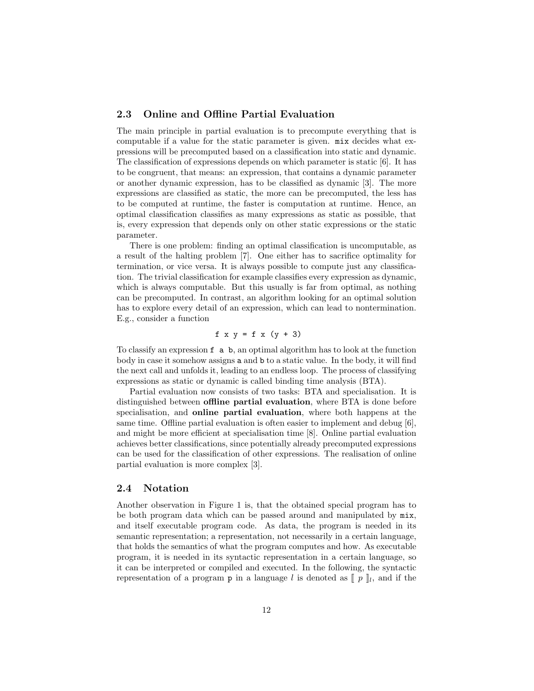#### 2.3 Online and Offline Partial Evaluation

The main principle in partial evaluation is to precompute everything that is computable if a value for the static parameter is given. mix decides what expressions will be precomputed based on a classification into static and dynamic. The classification of expressions depends on which parameter is static [6]. It has to be congruent, that means: an expression, that contains a dynamic parameter or another dynamic expression, has to be classified as dynamic [3]. The more expressions are classified as static, the more can be precomputed, the less has to be computed at runtime, the faster is computation at runtime. Hence, an optimal classification classifies as many expressions as static as possible, that is, every expression that depends only on other static expressions or the static parameter.

There is one problem: finding an optimal classification is uncomputable, as a result of the halting problem [7]. One either has to sacrifice optimality for termination, or vice versa. It is always possible to compute just any classification. The trivial classification for example classifies every expression as dynamic, which is always computable. But this usually is far from optimal, as nothing can be precomputed. In contrast, an algorithm looking for an optimal solution has to explore every detail of an expression, which can lead to nontermination. E.g., consider a function

$$
f \times y = f \times (y + 3)
$$

To classify an expression f a b, an optimal algorithm has to look at the function body in case it somehow assigns a and b to a static value. In the body, it will find the next call and unfolds it, leading to an endless loop. The process of classifying expressions as static or dynamic is called binding time analysis (BTA).

Partial evaluation now consists of two tasks: BTA and specialisation. It is distinguished between offline partial evaluation, where BTA is done before specialisation, and online partial evaluation, where both happens at the same time. Offline partial evaluation is often easier to implement and debug [6], and might be more efficient at specialisation time [8]. Online partial evaluation achieves better classifications, since potentially already precomputed expressions can be used for the classification of other expressions. The realisation of online partial evaluation is more complex [3].

#### 2.4 Notation

Another observation in Figure 1 is, that the obtained special program has to be both program data which can be passed around and manipulated by mix, and itself executable program code. As data, the program is needed in its semantic representation; a representation, not necessarily in a certain language, that holds the semantics of what the program computes and how. As executable program, it is needed in its syntactic representation in a certain language, so it can be interpreted or compiled and executed. In the following, the syntactic representation of a program **p** in a language l is denoted as  $[p]$ , and if the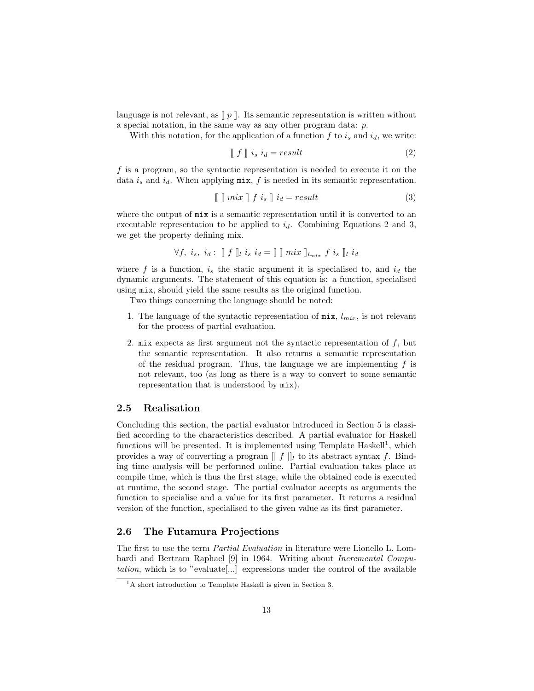language is not relevant, as  $\llbracket p \rrbracket$ . Its semantic representation is written without a special notation, in the same way as any other program data: p.

With this notation, for the application of a function  $f$  to  $i_s$  and  $i_d$ , we write:

$$
\llbracket f \rrbracket i_s i_d = result \tag{2}
$$

f is a program, so the syntactic representation is needed to execute it on the data  $i_s$  and  $i_d$ . When applying  $\min$ , f is needed in its semantic representation.

$$
\llbracket \llbracket \min \rrbracket f \, i_s \rrbracket i_d = result \tag{3}
$$

where the output of mix is a semantic representation until it is converted to an executable representation to be applied to  $i_d$ . Combining Equations 2 and 3, we get the property defining mix.

$$
\forall f, i_s, i_d: \llbracket f \rrbracket_i i_s i_d = \llbracket \llbracket \text{max } \rrbracket_{l_{mix}} f i_s \rrbracket_i i_d
$$

where f is a function,  $i_s$  the static argument it is specialised to, and  $i_d$  the dynamic arguments. The statement of this equation is: a function, specialised using mix, should yield the same results as the original function.

Two things concerning the language should be noted:

- 1. The language of the syntactic representation of  $\min$ ,  $l_{mix}$ , is not relevant for the process of partial evaluation.
- 2. mix expects as first argument not the syntactic representation of  $f$ , but the semantic representation. It also returns a semantic representation of the residual program. Thus, the language we are implementing  $f$  is not relevant, too (as long as there is a way to convert to some semantic representation that is understood by mix).

#### 2.5 Realisation

Concluding this section, the partial evaluator introduced in Section 5 is classified according to the characteristics described. A partial evaluator for Haskell functions will be presented. It is implemented using Template Haskell<sup>1</sup>, which provides a way of converting a program  $|| f ||_l$  to its abstract syntax f. Binding time analysis will be performed online. Partial evaluation takes place at compile time, which is thus the first stage, while the obtained code is executed at runtime, the second stage. The partial evaluator accepts as arguments the function to specialise and a value for its first parameter. It returns a residual version of the function, specialised to the given value as its first parameter.

#### 2.6 The Futamura Projections

The first to use the term Partial Evaluation in literature were Lionello L. Lombardi and Bertram Raphael [9] in 1964. Writing about Incremental Computation, which is to "evaluate[...] expressions under the control of the available

<sup>1</sup>A short introduction to Template Haskell is given in Section 3.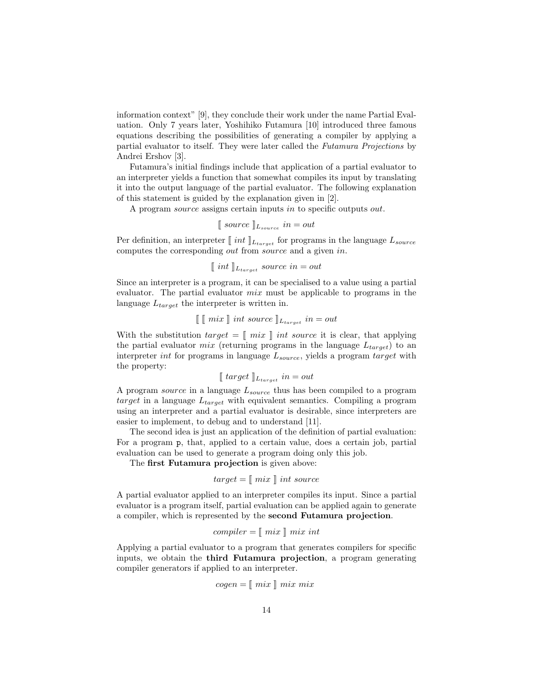information context" [9], they conclude their work under the name Partial Evaluation. Only 7 years later, Yoshihiko Futamura [10] introduced three famous equations describing the possibilities of generating a compiler by applying a partial evaluator to itself. They were later called the Futamura Projections by Andrei Ershov [3].

Futamura's initial findings include that application of a partial evaluator to an interpreter yields a function that somewhat compiles its input by translating it into the output language of the partial evaluator. The following explanation of this statement is guided by the explanation given in [2].

A program source assigns certain inputs in to specific outputs out.

$$
\llbracket source \rrbracket_{L_{source}} in = out
$$

Per definition, an interpreter  $\llbracket int \rrbracket_{L_{target}}$  for programs in the language  $L_{source}$ computes the corresponding out from source and a given in.

$$
\llbracket int \rrbracket_{L_{target}} source in = out
$$

Since an interpreter is a program, it can be specialised to a value using a partial evaluator. The partial evaluator mix must be applicable to programs in the language  $L_{target}$  the interpreter is written in.

$$
\llbracket \; \llbracket \; mix \; \rrbracket \; int \; source \; \rrbracket_{L_{target}} \; in = out
$$

With the substitution  $target = \lceil \text{mix} \rceil$  int source it is clear, that applying the partial evaluator *mix* (returning programs in the language  $L_{target}$ ) to an interpreter *int* for programs in language  $L_{source}$ , yields a program target with the property:

$$
\llbracket \; target \; \rrbracket_{L_{target}} \; in = out
$$

A program *source* in a language  $L_{source}$  thus has been compiled to a program target in a language  $L_{target}$  with equivalent semantics. Compiling a program using an interpreter and a partial evaluator is desirable, since interpreters are easier to implement, to debug and to understand [11].

The second idea is just an application of the definition of partial evaluation: For a program p, that, applied to a certain value, does a certain job, partial evaluation can be used to generate a program doing only this job.

The first Futamura projection is given above:

$$
target = [\![ \; mix \; ]\!] \; int \; source
$$

A partial evaluator applied to an interpreter compiles its input. Since a partial evaluator is a program itself, partial evaluation can be applied again to generate a compiler, which is represented by the second Futamura projection.

$$
complier = [\![ \; mix \; ]\!] \; mix \; int
$$

Applying a partial evaluator to a program that generates compilers for specific inputs, we obtain the third Futamura projection, a program generating compiler generators if applied to an interpreter.

$$
cogen = [\![\;mix \;\;]\!] \; mix \; mix
$$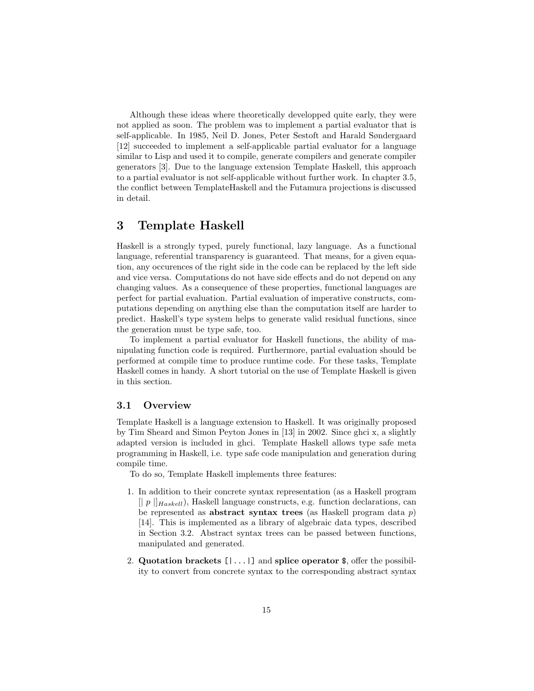Although these ideas where theoretically developped quite early, they were not applied as soon. The problem was to implement a partial evaluator that is self-applicable. In 1985, Neil D. Jones, Peter Sestoft and Harald Søndergaard [12] succeeded to implement a self-applicable partial evaluator for a language similar to Lisp and used it to compile, generate compilers and generate compiler generators [3]. Due to the language extension Template Haskell, this approach to a partial evaluator is not self-applicable without further work. In chapter 3.5, the conflict between TemplateHaskell and the Futamura projections is discussed in detail.

### 3 Template Haskell

Haskell is a strongly typed, purely functional, lazy language. As a functional language, referential transparency is guaranteed. That means, for a given equation, any occurences of the right side in the code can be replaced by the left side and vice versa. Computations do not have side effects and do not depend on any changing values. As a consequence of these properties, functional languages are perfect for partial evaluation. Partial evaluation of imperative constructs, computations depending on anything else than the computation itself are harder to predict. Haskell's type system helps to generate valid residual functions, since the generation must be type safe, too.

To implement a partial evaluator for Haskell functions, the ability of manipulating function code is required. Furthermore, partial evaluation should be performed at compile time to produce runtime code. For these tasks, Template Haskell comes in handy. A short tutorial on the use of Template Haskell is given in this section.

#### 3.1 Overview

Template Haskell is a language extension to Haskell. It was originally proposed by Tim Sheard and Simon Peyton Jones in [13] in 2002. Since ghci x, a slightly adapted version is included in ghci. Template Haskell allows type safe meta programming in Haskell, i.e. type safe code manipulation and generation during compile time.

To do so, Template Haskell implements three features:

- 1. In addition to their concrete syntax representation (as a Haskell program  $[|| p ||]_{Haskell}$ , Haskell language constructs, e.g. function declarations, can be represented as **abstract syntax trees** (as Haskell program data  $p$ ) [14]. This is implemented as a library of algebraic data types, described in Section 3.2. Abstract syntax trees can be passed between functions, manipulated and generated.
- 2. Quotation brackets  $[1 \dots 1]$  and splice operator \$, offer the possibility to convert from concrete syntax to the corresponding abstract syntax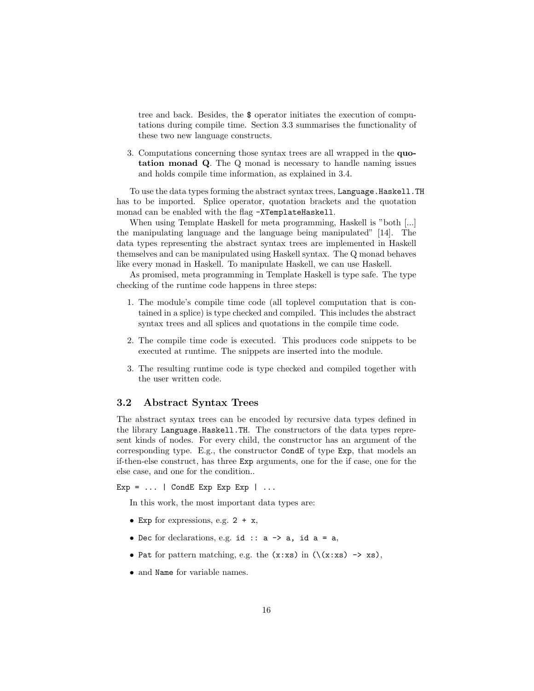tree and back. Besides, the \$ operator initiates the execution of computations during compile time. Section 3.3 summarises the functionality of these two new language constructs.

3. Computations concerning those syntax trees are all wrapped in the quotation monad Q. The Q monad is necessary to handle naming issues and holds compile time information, as explained in 3.4.

To use the data types forming the abstract syntax trees, Language.Haskell.TH has to be imported. Splice operator, quotation brackets and the quotation monad can be enabled with the flag -XTemplateHaskell.

When using Template Haskell for meta programming, Haskell is "both [...] the manipulating language and the language being manipulated" [14]. The data types representing the abstract syntax trees are implemented in Haskell themselves and can be manipulated using Haskell syntax. The Q monad behaves like every monad in Haskell. To manipulate Haskell, we can use Haskell.

As promised, meta programming in Template Haskell is type safe. The type checking of the runtime code happens in three steps:

- 1. The module's compile time code (all toplevel computation that is contained in a splice) is type checked and compiled. This includes the abstract syntax trees and all splices and quotations in the compile time code.
- 2. The compile time code is executed. This produces code snippets to be executed at runtime. The snippets are inserted into the module.
- 3. The resulting runtime code is type checked and compiled together with the user written code.

#### 3.2 Abstract Syntax Trees

The abstract syntax trees can be encoded by recursive data types defined in the library Language.Haskell.TH. The constructors of the data types represent kinds of nodes. For every child, the constructor has an argument of the corresponding type. E.g., the constructor CondE of type Exp, that models an if-then-else construct, has three Exp arguments, one for the if case, one for the else case, and one for the condition..

 $Exp = \ldots$  | CondE Exp Exp Exp | ...

In this work, the most important data types are:

- Exp for expressions, e.g.  $2 + x$ ,
- Dec for declarations, e.g. id ::  $a \rightarrow a$ , id  $a = a$ ,
- Pat for pattern matching, e.g. the  $(x:xs)$  in  $(\zeta(x:xs) \rightarrow xs)$ ,
- and Name for variable names.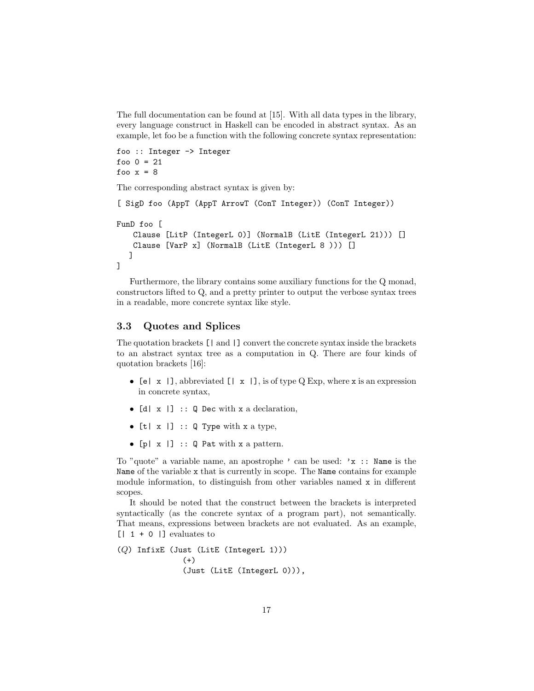The full documentation can be found at [15]. With all data types in the library, every language construct in Haskell can be encoded in abstract syntax. As an example, let foo be a function with the following concrete syntax representation:

```
foo :: Integer -> Integer
foo 0 = 21foo x = 8
```
The corresponding abstract syntax is given by:

```
[ SigD foo (AppT (AppT ArrowT (ConT Integer)) (ConT Integer))
FunD foo [
   Clause [LitP (IntegerL 0)] (NormalB (LitE (IntegerL 21))) []
   Clause [VarP x] (NormalB (LitE (IntegerL 8 ))) []
  ]
]
```
Furthermore, the library contains some auxiliary functions for the Q monad, constructors lifted to Q, and a pretty printer to output the verbose syntax trees in a readable, more concrete syntax like style.

#### 3.3 Quotes and Splices

The quotation brackets [| and |] convert the concrete syntax inside the brackets to an abstract syntax tree as a computation in Q. There are four kinds of quotation brackets [16]:

- [e]  $x$  |], abbreviated [|  $x$  |], is of type Q Exp, where x is an expression in concrete syntax,
- $[d \mid x \mid]$  :: Q Dec with x a declaration,
- $[t | x |] :: Q$  Type with x a type,
- $[p \mid x]$  :: Q Pat with x a pattern.

To "quote" a variable name, an apostrophe ' can be used: 'x :: Name is the Name of the variable x that is currently in scope. The Name contains for example module information, to distinguish from other variables named x in different scopes.

It should be noted that the construct between the brackets is interpreted syntactically (as the concrete syntax of a program part), not semantically. That means, expressions between brackets are not evaluated. As an example,  $[1 \t 1 \t 0]$  evaluates to

```
(Q) InfixE (Just (LitE (IntegerL 1)))
              (+)(Just (LitE (IntegerL 0))),
```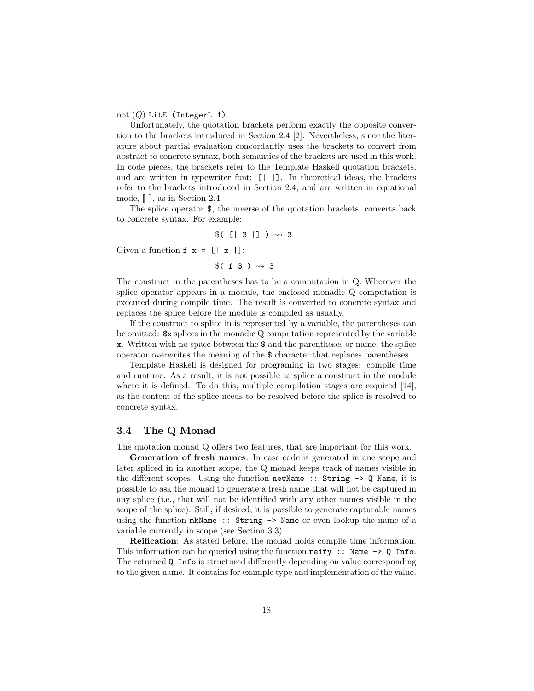not  $(Q)$  LitE (IntegerL 1).

Unfortunately, the quotation brackets perform exactly the opposite convertion to the brackets introduced in Section 2.4 [2]. Nevertheless, since the literature about partial evaluation concordantly uses the brackets to convert from abstract to concrete syntax, both semantics of the brackets are used in this work. In code pieces, the brackets refer to the Template Haskell quotation brackets, and are written in typewriter font: [| |]. In theoretical ideas, the brackets refer to the brackets introduced in Section 2.4, and are written in equational mode,  $\llbracket \cdot \rrbracket$ , as in Section 2.4.

The splice operator \$, the inverse of the quotation brackets, converts back to concrete syntax. For example:

$$
$( [1 3 1] ) \rightsquigarrow 3
$$

Given a function  $f \times = [x \mid x]$ :

 $$(f 3) \rightsquigarrow 3$ 

The construct in the parentheses has to be a computation in Q. Wherever the splice operator appears in a module, the enclosed monadic Q computation is executed during compile time. The result is converted to concrete syntax and replaces the splice before the module is compiled as usually.

If the construct to splice in is represented by a variable, the parentheses can be omitted: \$x splices in the monadic Q computation represented by the variable x. Written with no space between the \$ and the parentheses or name, the splice operator overwrites the meaning of the \$ character that replaces parentheses.

Template Haskell is designed for programing in two stages: compile time and runtime. As a result, it is not possible to splice a construct in the module where it is defined. To do this, multiple compilation stages are required [14], as the content of the splice needs to be resolved before the splice is resolved to concrete syntax.

#### 3.4 The Q Monad

The quotation monad Q offers two features, that are important for this work.

Generation of fresh names: In case code is generated in one scope and later spliced in in another scope, the Q monad keeps track of names visible in the different scopes. Using the function newName  $\cdot$ : String  $\rightarrow$  Q Name, it is possible to ask the monad to generate a fresh name that will not be captured in any splice (i.e., that will not be identified with any other names visible in the scope of the splice). Still, if desired, it is possible to generate capturable names using the function mkName  $::$  String  $\rightarrow$  Name or even lookup the name of a variable currently in scope (see Section 3.3).

Reification: As stated before, the monad holds compile time information. This information can be queried using the function reify :: Name  $\rightarrow$  Q Info. The returned Q Info is structured differently depending on value corresponding to the given name. It contains for example type and implementation of the value.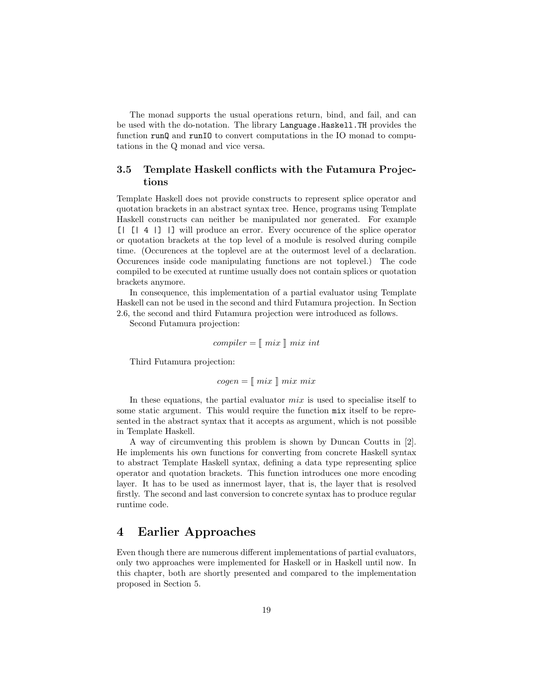The monad supports the usual operations return, bind, and fail, and can be used with the do-notation. The library Language.Haskell.TH provides the function runQ and runIO to convert computations in the IO monad to computations in the Q monad and vice versa.

#### 3.5 Template Haskell conflicts with the Futamura Projections

Template Haskell does not provide constructs to represent splice operator and quotation brackets in an abstract syntax tree. Hence, programs using Template Haskell constructs can neither be manipulated nor generated. For example [| [| 4 |] |] will produce an error. Every occurence of the splice operator or quotation brackets at the top level of a module is resolved during compile time. (Occurences at the toplevel are at the outermost level of a declaration. Occurences inside code manipulating functions are not toplevel.) The code compiled to be executed at runtime usually does not contain splices or quotation brackets anymore.

In consequence, this implementation of a partial evaluator using Template Haskell can not be used in the second and third Futamura projection. In Section 2.6, the second and third Futamura projection were introduced as follows.

Second Futamura projection:

$$
complier = [\![ \; mix \; ]\!] \; mix \; int
$$

Third Futamura projection:

 $cogen = \lceil mix \rceil mix mix$ 

In these equations, the partial evaluator  $mix$  is used to specialise itself to some static argument. This would require the function mix itself to be represented in the abstract syntax that it accepts as argument, which is not possible in Template Haskell.

A way of circumventing this problem is shown by Duncan Coutts in [2]. He implements his own functions for converting from concrete Haskell syntax to abstract Template Haskell syntax, defining a data type representing splice operator and quotation brackets. This function introduces one more encoding layer. It has to be used as innermost layer, that is, the layer that is resolved firstly. The second and last conversion to concrete syntax has to produce regular runtime code.

### 4 Earlier Approaches

Even though there are numerous different implementations of partial evaluators, only two approaches were implemented for Haskell or in Haskell until now. In this chapter, both are shortly presented and compared to the implementation proposed in Section 5.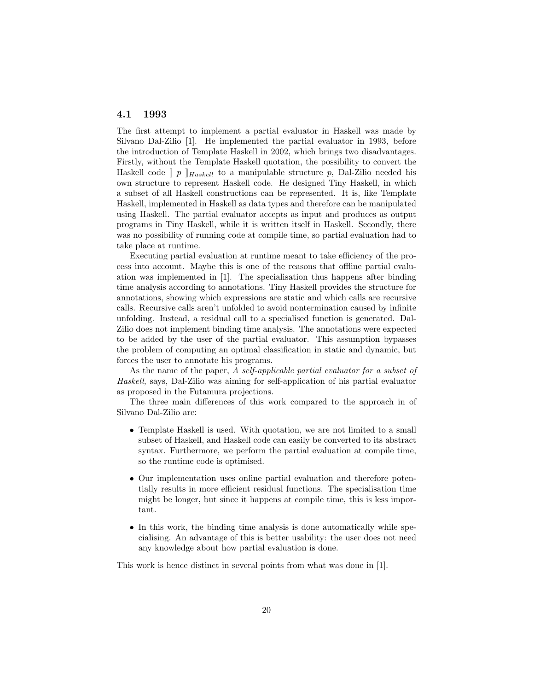#### 4.1 1993

The first attempt to implement a partial evaluator in Haskell was made by Silvano Dal-Zilio [1]. He implemented the partial evaluator in 1993, before the introduction of Template Haskell in 2002, which brings two disadvantages. Firstly, without the Template Haskell quotation, the possibility to convert the Haskell code  $\llbracket p \rrbracket_{Haskell}$  to a manipulable structure p, Dal-Zilio needed his own structure to represent Haskell code. He designed Tiny Haskell, in which a subset of all Haskell constructions can be represented. It is, like Template Haskell, implemented in Haskell as data types and therefore can be manipulated using Haskell. The partial evaluator accepts as input and produces as output programs in Tiny Haskell, while it is written itself in Haskell. Secondly, there was no possibility of running code at compile time, so partial evaluation had to take place at runtime.

Executing partial evaluation at runtime meant to take efficiency of the process into account. Maybe this is one of the reasons that offline partial evaluation was implemented in [1]. The specialisation thus happens after binding time analysis according to annotations. Tiny Haskell provides the structure for annotations, showing which expressions are static and which calls are recursive calls. Recursive calls aren't unfolded to avoid nontermination caused by infinite unfolding. Instead, a residual call to a specialised function is generated. Dal-Zilio does not implement binding time analysis. The annotations were expected to be added by the user of the partial evaluator. This assumption bypasses the problem of computing an optimal classification in static and dynamic, but forces the user to annotate his programs.

As the name of the paper, A self-applicable partial evaluator for a subset of Haskell, says, Dal-Zilio was aiming for self-application of his partial evaluator as proposed in the Futamura projections.

The three main differences of this work compared to the approach in of Silvano Dal-Zilio are:

- Template Haskell is used. With quotation, we are not limited to a small subset of Haskell, and Haskell code can easily be converted to its abstract syntax. Furthermore, we perform the partial evaluation at compile time, so the runtime code is optimised.
- Our implementation uses online partial evaluation and therefore potentially results in more efficient residual functions. The specialisation time might be longer, but since it happens at compile time, this is less important.
- In this work, the binding time analysis is done automatically while specialising. An advantage of this is better usability: the user does not need any knowledge about how partial evaluation is done.

This work is hence distinct in several points from what was done in [1].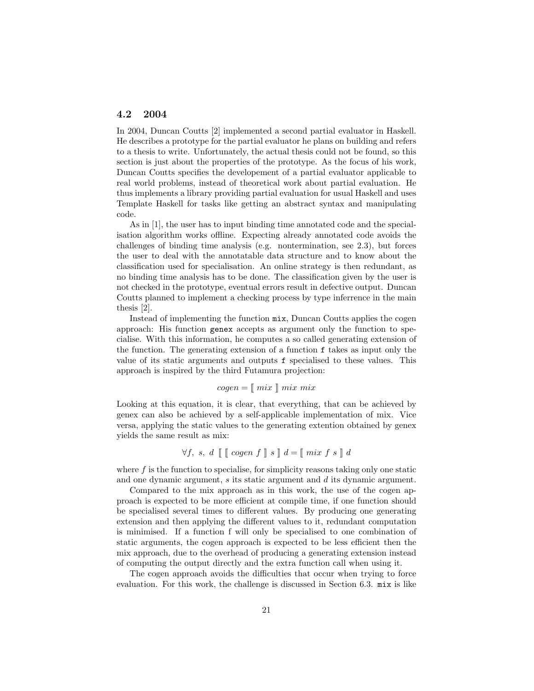#### 4.2 2004

In 2004, Duncan Coutts [2] implemented a second partial evaluator in Haskell. He describes a prototype for the partial evaluator he plans on building and refers to a thesis to write. Unfortunately, the actual thesis could not be found, so this section is just about the properties of the prototype. As the focus of his work, Duncan Coutts specifies the developement of a partial evaluator applicable to real world problems, instead of theoretical work about partial evaluation. He thus implements a library providing partial evaluation for usual Haskell and uses Template Haskell for tasks like getting an abstract syntax and manipulating code.

As in [1], the user has to input binding time annotated code and the specialisation algorithm works offline. Expecting already annotated code avoids the challenges of binding time analysis (e.g. nontermination, see 2.3), but forces the user to deal with the annotatable data structure and to know about the classification used for specialisation. An online strategy is then redundant, as no binding time analysis has to be done. The classification given by the user is not checked in the prototype, eventual errors result in defective output. Duncan Coutts planned to implement a checking process by type inferrence in the main thesis [2].

Instead of implementing the function mix, Duncan Coutts applies the cogen approach: His function genex accepts as argument only the function to specialise. With this information, he computes a so called generating extension of the function. The generating extension of a function f takes as input only the value of its static arguments and outputs f specialised to these values. This approach is inspired by the third Futamura projection:

#### $cogen = \lceil mix \rceil mix mix$

Looking at this equation, it is clear, that everything, that can be achieved by genex can also be achieved by a self-applicable implementation of mix. Vice versa, applying the static values to the generating extention obtained by genex yields the same result as mix:

$$
\forall f, s, d \mathbb{[} \mathbb{[} \c{open} f \mathbb{]} s \mathbb{]} d = \mathbb{[} \min f s \mathbb{]} d
$$

where  $f$  is the function to specialise, for simplicity reasons taking only one static and one dynamic argument, s its static argument and d its dynamic argument.

Compared to the mix approach as in this work, the use of the cogen approach is expected to be more efficient at compile time, if one function should be specialised several times to different values. By producing one generating extension and then applying the different values to it, redundant computation is minimised. If a function f will only be specialised to one combination of static arguments, the cogen approach is expected to be less efficient then the mix approach, due to the overhead of producing a generating extension instead of computing the output directly and the extra function call when using it.

The cogen approach avoids the difficulties that occur when trying to force evaluation. For this work, the challenge is discussed in Section 6.3. mix is like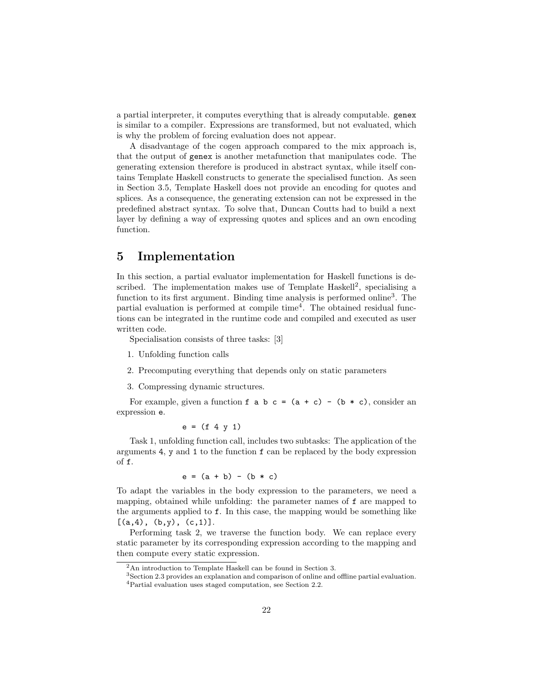a partial interpreter, it computes everything that is already computable. genex is similar to a compiler. Expressions are transformed, but not evaluated, which is why the problem of forcing evaluation does not appear.

A disadvantage of the cogen approach compared to the mix approach is, that the output of genex is another metafunction that manipulates code. The generating extension therefore is produced in abstract syntax, while itself contains Template Haskell constructs to generate the specialised function. As seen in Section 3.5, Template Haskell does not provide an encoding for quotes and splices. As a consequence, the generating extension can not be expressed in the predefined abstract syntax. To solve that, Duncan Coutts had to build a next layer by defining a way of expressing quotes and splices and an own encoding function.

### 5 Implementation

In this section, a partial evaluator implementation for Haskell functions is described. The implementation makes use of Template Haskell<sup>2</sup>, specialising a function to its first argument. Binding time analysis is performed online<sup>3</sup>. The partial evaluation is performed at compile time<sup>4</sup> . The obtained residual functions can be integrated in the runtime code and compiled and executed as user written code.

Specialisation consists of three tasks: [3]

- 1. Unfolding function calls
- 2. Precomputing everything that depends only on static parameters

3. Compressing dynamic structures.

For example, given a function  $f$  a  $b$   $c = (a + c) - (b * c)$ , consider an expression e.

$$
e = (f 4 y 1)
$$

Task 1, unfolding function call, includes two subtasks: The application of the arguments 4, y and 1 to the function f can be replaced by the body expression of f.

$$
e = (a + b) - (b * c)
$$

To adapt the variables in the body expression to the parameters, we need a mapping, obtained while unfolding: the parameter names of f are mapped to the arguments applied to f. In this case, the mapping would be something like  $[(a,4), (b,y), (c,1)].$ 

Performing task 2, we traverse the function body. We can replace every static parameter by its corresponding expression according to the mapping and then compute every static expression.

<sup>2</sup>An introduction to Template Haskell can be found in Section 3.

<sup>3</sup>Section 2.3 provides an explanation and comparison of online and offline partial evaluation.

<sup>4</sup>Partial evaluation uses staged computation, see Section 2.2.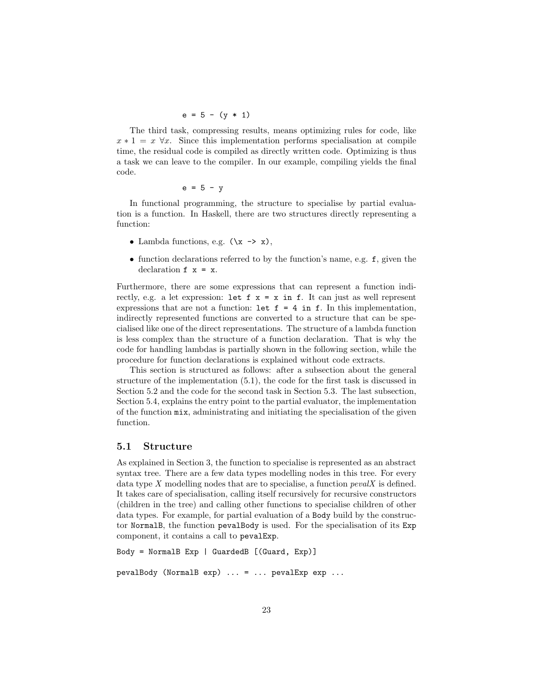$$
e = 5 - (y * 1)
$$

The third task, compressing results, means optimizing rules for code, like  $x * 1 = x \,\forall x$ . Since this implementation performs specialisation at compile time, the residual code is compiled as directly written code. Optimizing is thus a task we can leave to the compiler. In our example, compiling yields the final code.

$$
e = 5 - y
$$

In functional programming, the structure to specialise by partial evaluation is a function. In Haskell, there are two structures directly representing a function:

- Lambda functions, e.g.  $(\x \rightarrow x)$ ,
- function declarations referred to by the function's name, e.g. f, given the declaration  $f \times = x$ .

Furthermore, there are some expressions that can represent a function indirectly, e.g. a let expression: let  $f \times = x$  in  $f$ . It can just as well represent expressions that are not a function: let  $f = 4$  in f. In this implementation, indirectly represented functions are converted to a structure that can be specialised like one of the direct representations. The structure of a lambda function is less complex than the structure of a function declaration. That is why the code for handling lambdas is partially shown in the following section, while the procedure for function declarations is explained without code extracts.

This section is structured as follows: after a subsection about the general structure of the implementation (5.1), the code for the first task is discussed in Section 5.2 and the code for the second task in Section 5.3. The last subsection, Section 5.4, explains the entry point to the partial evaluator, the implementation of the function mix, administrating and initiating the specialisation of the given function.

#### 5.1 Structure

As explained in Section 3, the function to specialise is represented as an abstract syntax tree. There are a few data types modelling nodes in this tree. For every data type  $X$  modelling nodes that are to specialise, a function  $pevalX$  is defined. It takes care of specialisation, calling itself recursively for recursive constructors (children in the tree) and calling other functions to specialise children of other data types. For example, for partial evaluation of a Body build by the constructor NormalB, the function pevalBody is used. For the specialisation of its Exp component, it contains a call to pevalExp.

```
Body = NormalB Exp | GuardedB [(Guard, Exp)]
pevalBody (NormalB exp) ... = ... pevalExp exp ...
```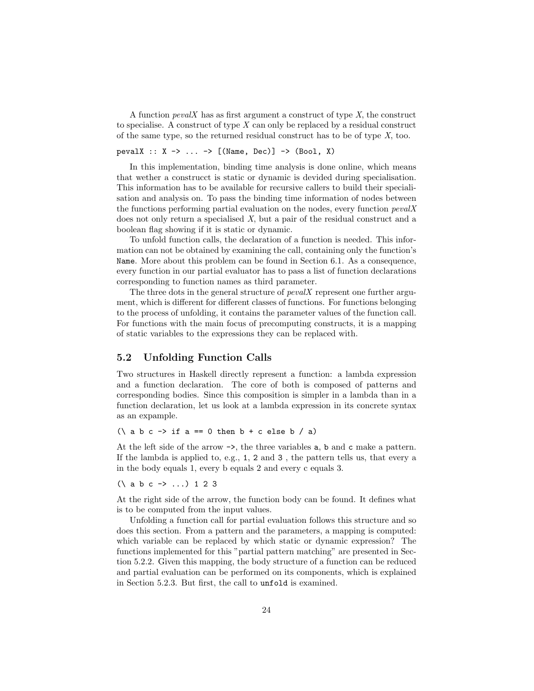A function  $pevalX$  has as first argument a construct of type  $X$ , the construct to specialise. A construct of type  $X$  can only be replaced by a residual construct of the same type, so the returned residual construct has to be of type X, too.

#### pevalX :: X -> ... -> [(Name, Dec)] -> (Bool, X)

In this implementation, binding time analysis is done online, which means that wether a construcct is static or dynamic is devided during specialisation. This information has to be available for recursive callers to build their specialisation and analysis on. To pass the binding time information of nodes between the functions performing partial evaluation on the nodes, every function  $pevalX$ does not only return a specialised X, but a pair of the residual construct and a boolean flag showing if it is static or dynamic.

To unfold function calls, the declaration of a function is needed. This information can not be obtained by examining the call, containing only the function's Name. More about this problem can be found in Section 6.1. As a consequence, every function in our partial evaluator has to pass a list of function declarations corresponding to function names as third parameter.

The three dots in the general structure of *pevalX* represent one further argument, which is different for different classes of functions. For functions belonging to the process of unfolding, it contains the parameter values of the function call. For functions with the main focus of precomputing constructs, it is a mapping of static variables to the expressions they can be replaced with.

#### 5.2 Unfolding Function Calls

Two structures in Haskell directly represent a function: a lambda expression and a function declaration. The core of both is composed of patterns and corresponding bodies. Since this composition is simpler in a lambda than in a function declaration, let us look at a lambda expression in its concrete syntax as an expample.

 $(\lambda$  a b c -> if a == 0 then b + c else b / a)

At the left side of the arrow ->, the three variables a, b and c make a pattern. If the lambda is applied to, e.g., 1, 2 and 3 , the pattern tells us, that every a in the body equals 1, every b equals 2 and every c equals 3.

(\ a b c -> ...) 1 2 3

At the right side of the arrow, the function body can be found. It defines what is to be computed from the input values.

Unfolding a function call for partial evaluation follows this structure and so does this section. From a pattern and the parameters, a mapping is computed: which variable can be replaced by which static or dynamic expression? The functions implemented for this "partial pattern matching" are presented in Section 5.2.2. Given this mapping, the body structure of a function can be reduced and partial evaluation can be performed on its components, which is explained in Section 5.2.3. But first, the call to unfold is examined.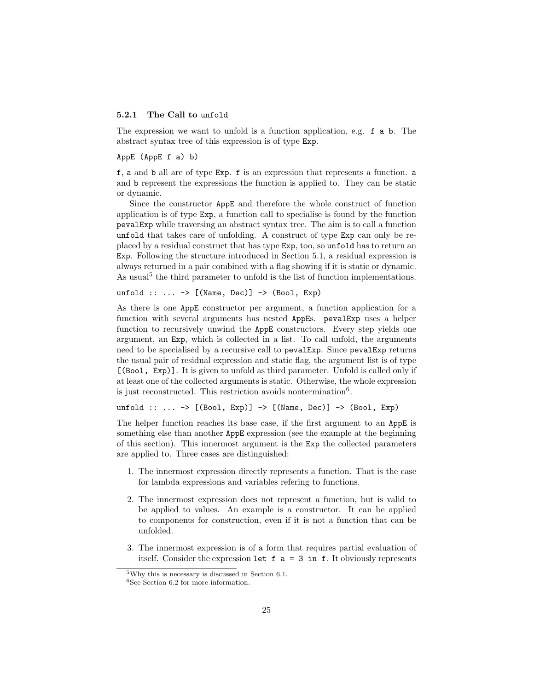#### 5.2.1 The Call to unfold

The expression we want to unfold is a function application, e.g. f a b. The abstract syntax tree of this expression is of type Exp.

#### AppE (AppE f a) b)

f, a and b all are of type Exp. f is an expression that represents a function. a and b represent the expressions the function is applied to. They can be static or dynamic.

Since the constructor AppE and therefore the whole construct of function application is of type Exp, a function call to specialise is found by the function pevalExp while traversing an abstract syntax tree. The aim is to call a function unfold that takes care of unfolding. A construct of type Exp can only be replaced by a residual construct that has type Exp, too, so unfold has to return an Exp. Following the structure introduced in Section 5.1, a residual expression is always returned in a pair combined with a flag showing if it is static or dynamic. As usual<sup>5</sup> the third parameter to unfold is the list of function implementations.

unfold  $:: \ldots \rightarrow [(Name, Dec)] \rightarrow (Bool, Exp)$ 

As there is one AppE constructor per argument, a function application for a function with several arguments has nested AppEs. pevalExp uses a helper function to recursively unwind the AppE constructors. Every step yields one argument, an Exp, which is collected in a list. To call unfold, the arguments need to be specialised by a recursive call to pevalExp. Since pevalExp returns the usual pair of residual expression and static flag, the argument list is of type [(Bool, Exp)]. It is given to unfold as third parameter. Unfold is called only if at least one of the collected arguments is static. Otherwise, the whole expression is just reconstructed. This restriction avoids nontermination<sup>6</sup>.

#### unfold :: ... -> [(Bool, Exp)] -> [(Name, Dec)] -> (Bool, Exp)

The helper function reaches its base case, if the first argument to an AppE is something else than another AppE expression (see the example at the beginning of this section). This innermost argument is the Exp the collected parameters are applied to. Three cases are distinguished:

- 1. The innermost expression directly represents a function. That is the case for lambda expressions and variables refering to functions.
- 2. The innermost expression does not represent a function, but is valid to be applied to values. An example is a constructor. It can be applied to components for construction, even if it is not a function that can be unfolded.
- 3. The innermost expression is of a form that requires partial evaluation of itself. Consider the expression let  $f$  a = 3 in  $f$ . It obviously represents

<sup>5</sup>Why this is necessary is discussed in Section 6.1.

<sup>6</sup>See Section 6.2 for more information.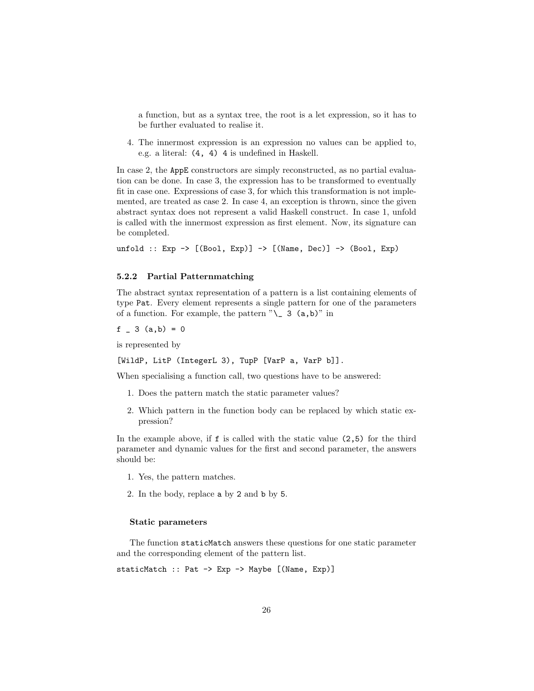a function, but as a syntax tree, the root is a let expression, so it has to be further evaluated to realise it.

4. The innermost expression is an expression no values can be applied to, e.g. a literal: (4, 4) 4 is undefined in Haskell.

In case 2, the AppE constructors are simply reconstructed, as no partial evaluation can be done. In case 3, the expression has to be transformed to eventually fit in case one. Expressions of case 3, for which this transformation is not implemented, are treated as case 2. In case 4, an exception is thrown, since the given abstract syntax does not represent a valid Haskell construct. In case 1, unfold is called with the innermost expression as first element. Now, its signature can be completed.

unfold :: Exp  $\rightarrow$  [(Bool, Exp)]  $\rightarrow$  [(Name, Dec)]  $\rightarrow$  (Bool, Exp)

#### 5.2.2 Partial Patternmatching

The abstract syntax representation of a pattern is a list containing elements of type Pat. Every element represents a single pattern for one of the parameters of a function. For example, the pattern  $"\_ 3$  (a,b)" in

 $f = 3$   $(a,b) = 0$ 

is represented by

[WildP, LitP (IntegerL 3), TupP [VarP a, VarP b]].

When specialising a function call, two questions have to be answered:

- 1. Does the pattern match the static parameter values?
- 2. Which pattern in the function body can be replaced by which static expression?

In the example above, if  $f$  is called with the static value  $(2,5)$  for the third parameter and dynamic values for the first and second parameter, the answers should be:

- 1. Yes, the pattern matches.
- 2. In the body, replace a by 2 and b by 5.

#### Static parameters

The function staticMatch answers these questions for one static parameter and the corresponding element of the pattern list.

staticMatch :: Pat -> Exp -> Maybe [(Name, Exp)]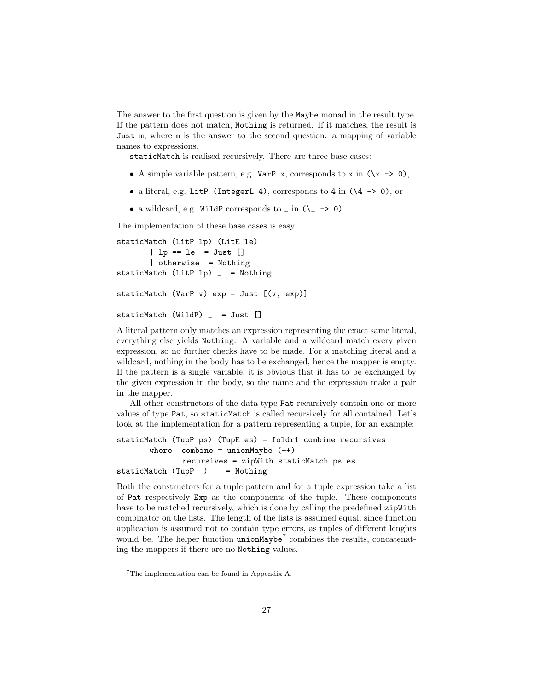The answer to the first question is given by the Maybe monad in the result type. If the pattern does not match, Nothing is returned. If it matches, the result is Just m, where m is the answer to the second question: a mapping of variable names to expressions.

staticMatch is realised recursively. There are three base cases:

- A simple variable pattern, e.g.  $VarP \times x$ , corresponds to  $x \in (\x \rightarrow 0)$ ,
- a literal, e.g. LitP (IntegerL 4), corresponds to 4 in (\4 -> 0), or
- a wildcard, e.g. WildP corresponds to  $\sin (\zeta \rightarrow 0)$ .

The implementation of these base cases is easy:

```
staticMatch (LitP lp) (LitE le)
       | lp == le = Just []
       | otherwise = Nothing
staticMatch (LitP lp) = Nothing
staticMatch (VarP v) exp = Just [(v, exp)]staticMatch (WildP) _ = Just []
```
A literal pattern only matches an expression representing the exact same literal, everything else yields Nothing. A variable and a wildcard match every given expression, so no further checks have to be made. For a matching literal and a wildcard, nothing in the body has to be exchanged, hence the mapper is empty. If the pattern is a single variable, it is obvious that it has to be exchanged by the given expression in the body, so the name and the expression make a pair in the mapper.

All other constructors of the data type Pat recursively contain one or more values of type Pat, so staticMatch is called recursively for all contained. Let's look at the implementation for a pattern representing a tuple, for an example:

```
staticMatch (TupP ps) (TupE es) = foldr1 combine recursives
       where combine = unionMap(e +)recursives = zipWith staticMatch ps es
staticMatch (TupP _{-}) _{-} = Nothing
```
Both the constructors for a tuple pattern and for a tuple expression take a list of Pat respectively Exp as the components of the tuple. These components have to be matched recursively, which is done by calling the predefined zipWith combinator on the lists. The length of the lists is assumed equal, since function application is assumed not to contain type errors, as tuples of different lenghts would be. The helper function unionMaybe<sup>7</sup> combines the results, concatenating the mappers if there are no Nothing values.

<sup>7</sup>The implementation can be found in Appendix A.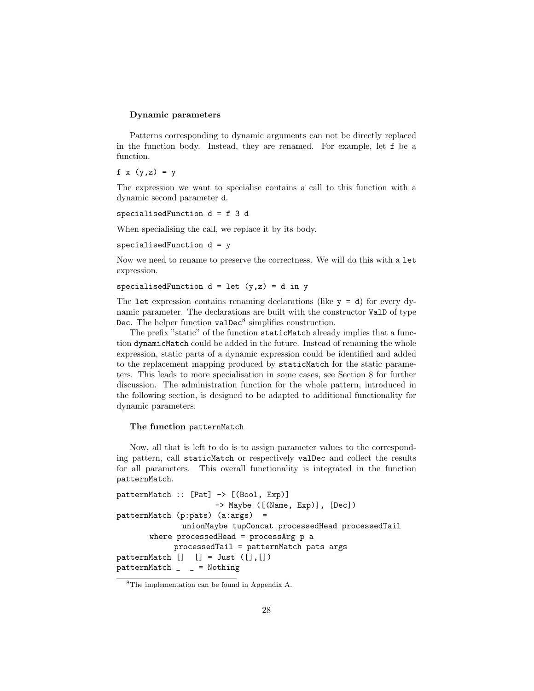#### Dynamic parameters

Patterns corresponding to dynamic arguments can not be directly replaced in the function body. Instead, they are renamed. For example, let f be a function.

f  $x (y, z) = y$ 

The expression we want to specialise contains a call to this function with a dynamic second parameter d.

```
specialisedFunction d = f 3 d
```
When specialising the call, we replace it by its body.

```
specialisedFunction d = y
```
Now we need to rename to preserve the correctness. We will do this with a let expression.

specialisedFunction  $d = 1$ et  $(y, z) = d$  in y

The let expression contains renaming declarations (like  $y = d$ ) for every dynamic parameter. The declarations are built with the constructor ValD of type Dec. The helper function  $\texttt{valDec}^8$  simplifies construction.

The prefix "static" of the function staticMatch already implies that a function dynamicMatch could be added in the future. Instead of renaming the whole expression, static parts of a dynamic expression could be identified and added to the replacement mapping produced by staticMatch for the static parameters. This leads to more specialisation in some cases, see Section 8 for further discussion. The administration function for the whole pattern, introduced in the following section, is designed to be adapted to additional functionality for dynamic parameters.

#### The function patternMatch

Now, all that is left to do is to assign parameter values to the corresponding pattern, call staticMatch or respectively valDec and collect the results for all parameters. This overall functionality is integrated in the function patternMatch.

```
patternMatch :: [Pat] -> [(Bool, Exp)]
                     -> Maybe ([(Name, Exp)], [Dec])
patternMatch (p:pats) (a:args) =
              unionMaybe tupConcat processedHead processedTail
       where processedHead = processArg p a
            processedTail = patternMatch pats args
patternMatch [] [] = Just ([], [])patternMatch _ _ = Nothing
```
<sup>8</sup>The implementation can be found in Appendix A.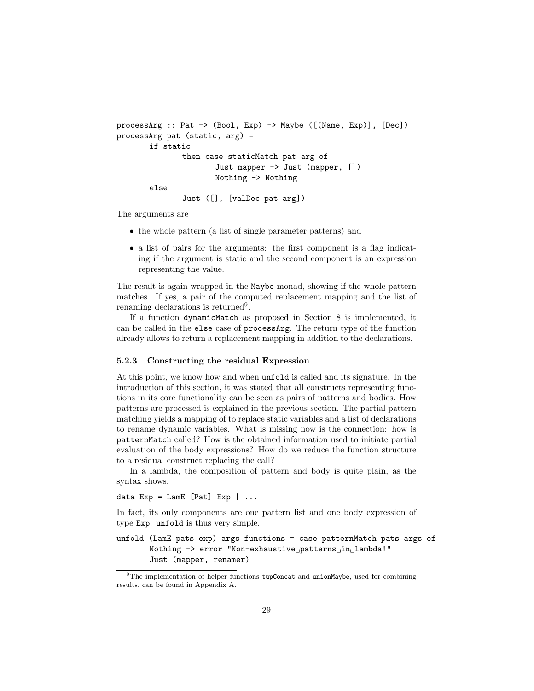```
processArg :: Pat -> (Bool, Exp) -> Maybe ([(Name, Exp)], [Dec])
processArg pat (static, arg) =
       if static
              then case staticMatch pat arg of
                      Just mapper -> Just (mapper, [])
                      Nothing -> Nothing
       else
              Just ([], [valDec pat arg])
```
The arguments are

- the whole pattern (a list of single parameter patterns) and
- a list of pairs for the arguments: the first component is a flag indicating if the argument is static and the second component is an expression representing the value.

The result is again wrapped in the Maybe monad, showing if the whole pattern matches. If yes, a pair of the computed replacement mapping and the list of renaming declarations is returned<sup>9</sup>.

If a function dynamicMatch as proposed in Section 8 is implemented, it can be called in the else case of processArg. The return type of the function already allows to return a replacement mapping in addition to the declarations.

#### 5.2.3 Constructing the residual Expression

At this point, we know how and when unfold is called and its signature. In the introduction of this section, it was stated that all constructs representing functions in its core functionality can be seen as pairs of patterns and bodies. How patterns are processed is explained in the previous section. The partial pattern matching yields a mapping of to replace static variables and a list of declarations to rename dynamic variables. What is missing now is the connection: how is patternMatch called? How is the obtained information used to initiate partial evaluation of the body expressions? How do we reduce the function structure to a residual construct replacing the call?

In a lambda, the composition of pattern and body is quite plain, as the syntax shows.

data  $Exp = LamE$   $[Pat]$   $Exp$   $| ...$ 

In fact, its only components are one pattern list and one body expression of type Exp. unfold is thus very simple.

unfold (LamE pats exp) args functions = case patternMatch pats args of Nothing -> error "Non-exhaustive<sub>U</sub>patterns<sub>U</sub>in<sub>U</sub>lambda!" Just (mapper, renamer)

 $9$ The implementation of helper functions tupConcat and unionMaybe, used for combining results, can be found in Appendix A.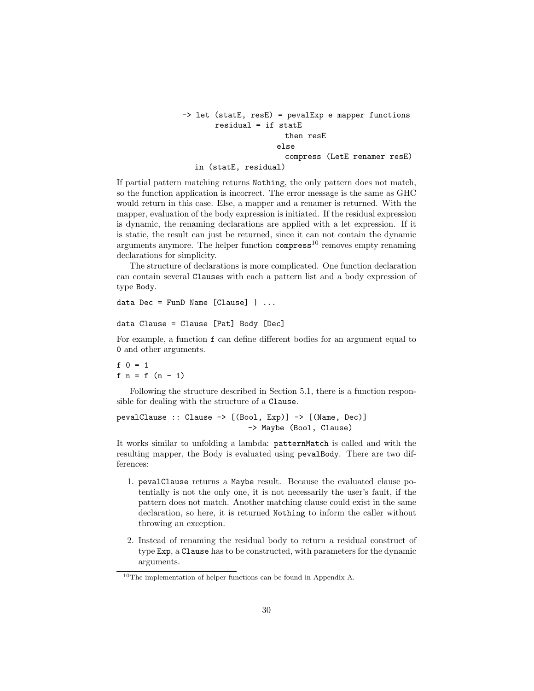```
-> let (statE, resE) = pevalExp e mapper functions
       residual = if statE
                       then resE
                     else
                       compress (LetE renamer resE)
  in (statE, residual)
```
If partial pattern matching returns Nothing, the only pattern does not match, so the function application is incorrect. The error message is the same as GHC would return in this case. Else, a mapper and a renamer is returned. With the mapper, evaluation of the body expression is initiated. If the residual expression is dynamic, the renaming declarations are applied with a let expression. If it is static, the result can just be returned, since it can not contain the dynamic arguments anymore. The helper function  $compress<sup>10</sup>$  removes empty renaming declarations for simplicity.

The structure of declarations is more complicated. One function declaration can contain several Clauses with each a pattern list and a body expression of type Body.

```
data Dec = FunD Name [Clause] | ...
```
data Clause = Clause [Pat] Body [Dec]

For example, a function f can define different bodies for an argument equal to 0 and other arguments.

 $f \ 0 = 1$ f  $n = f (n - 1)$ 

Following the structure described in Section 5.1, there is a function responsible for dealing with the structure of a Clause.

```
pevalClause :: Clause -> [(Bool, Exp)] -> [(Name, Dec)]
                             -> Maybe (Bool, Clause)
```
It works similar to unfolding a lambda: patternMatch is called and with the resulting mapper, the Body is evaluated using pevalBody. There are two differences:

- 1. pevalClause returns a Maybe result. Because the evaluated clause potentially is not the only one, it is not necessarily the user's fault, if the pattern does not match. Another matching clause could exist in the same declaration, so here, it is returned Nothing to inform the caller without throwing an exception.
- 2. Instead of renaming the residual body to return a residual construct of type Exp, a Clause has to be constructed, with parameters for the dynamic arguments.

 $^{10}\mathrm{The}$  implementation of helper functions can be found in Appendix A.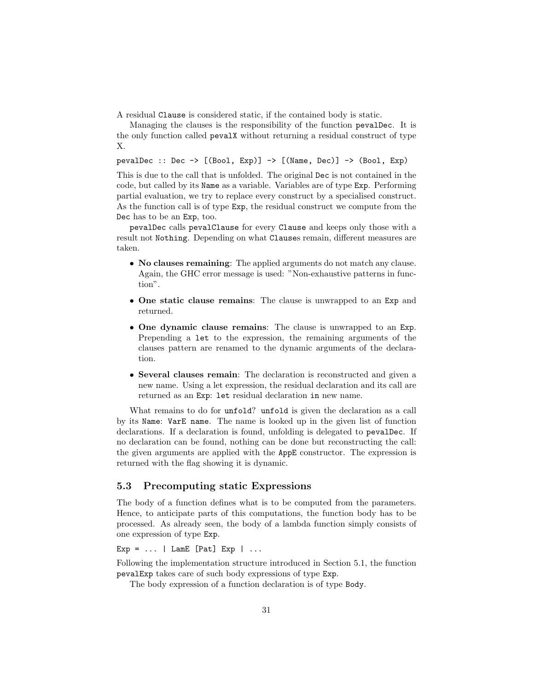A residual Clause is considered static, if the contained body is static.

Managing the clauses is the responsibility of the function pevalDec. It is the only function called pevalX without returning a residual construct of type X.

pevalDec :: Dec  $\rightarrow$  [(Bool, Exp)]  $\rightarrow$  [(Name, Dec)]  $\rightarrow$  (Bool, Exp)

This is due to the call that is unfolded. The original Dec is not contained in the code, but called by its Name as a variable. Variables are of type Exp. Performing partial evaluation, we try to replace every construct by a specialised construct. As the function call is of type Exp, the residual construct we compute from the Dec has to be an Exp, too.

pevalDec calls pevalClause for every Clause and keeps only those with a result not Nothing. Depending on what Clauses remain, different measures are taken.

- No clauses remaining: The applied arguments do not match any clause. Again, the GHC error message is used: "Non-exhaustive patterns in function".
- One static clause remains: The clause is unwrapped to an Exp and returned.
- One dynamic clause remains: The clause is unwrapped to an Exp. Prepending a let to the expression, the remaining arguments of the clauses pattern are renamed to the dynamic arguments of the declaration.
- Several clauses remain: The declaration is reconstructed and given a new name. Using a let expression, the residual declaration and its call are returned as an Exp: let residual declaration in new name.

What remains to do for unfold? unfold is given the declaration as a call by its Name: VarE name. The name is looked up in the given list of function declarations. If a declaration is found, unfolding is delegated to pevalDec. If no declaration can be found, nothing can be done but reconstructing the call: the given arguments are applied with the AppE constructor. The expression is returned with the flag showing it is dynamic.

#### 5.3 Precomputing static Expressions

The body of a function defines what is to be computed from the parameters. Hence, to anticipate parts of this computations, the function body has to be processed. As already seen, the body of a lambda function simply consists of one expression of type Exp.

Exp =  $\dots$  | LamE [Pat] Exp |  $\dots$ 

Following the implementation structure introduced in Section 5.1, the function pevalExp takes care of such body expressions of type Exp.

The body expression of a function declaration is of type Body.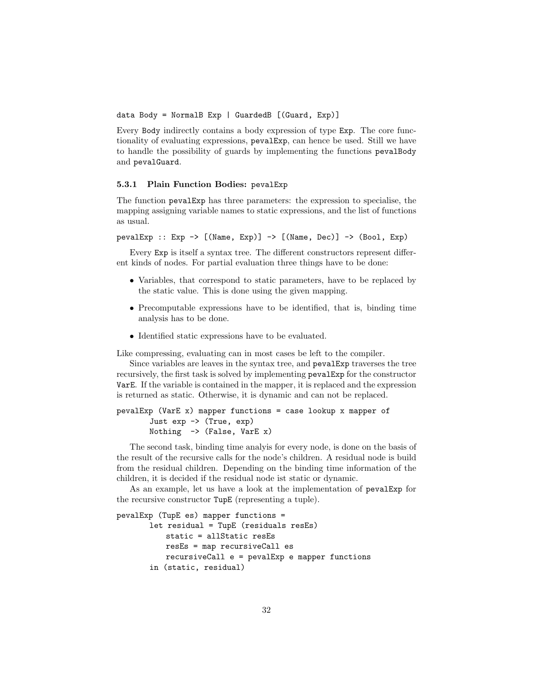data Body = NormalB Exp | GuardedB [(Guard, Exp)]

Every Body indirectly contains a body expression of type Exp. The core functionality of evaluating expressions, pevalExp, can hence be used. Still we have to handle the possibility of guards by implementing the functions pevalBody and pevalGuard.

#### 5.3.1 Plain Function Bodies: pevalExp

The function pevalExp has three parameters: the expression to specialise, the mapping assigning variable names to static expressions, and the list of functions as usual.

pevalExp :: Exp  $\rightarrow$  [(Name, Exp)]  $\rightarrow$  [(Name, Dec)]  $\rightarrow$  (Bool, Exp)

Every Exp is itself a syntax tree. The different constructors represent different kinds of nodes. For partial evaluation three things have to be done:

- Variables, that correspond to static parameters, have to be replaced by the static value. This is done using the given mapping.
- Precomputable expressions have to be identified, that is, binding time analysis has to be done.
- Identified static expressions have to be evaluated.

Like compressing, evaluating can in most cases be left to the compiler.

Since variables are leaves in the syntax tree, and pevalExp traverses the tree recursively, the first task is solved by implementing pevalExp for the constructor VarE. If the variable is contained in the mapper, it is replaced and the expression is returned as static. Otherwise, it is dynamic and can not be replaced.

```
pevalExp (VarE x) mapper functions = case lookup x mapper of
       Just exp -> (True, exp)
       Nothing -> (False, VarE x)
```
The second task, binding time analyis for every node, is done on the basis of the result of the recursive calls for the node's children. A residual node is build from the residual children. Depending on the binding time information of the children, it is decided if the residual node ist static or dynamic.

As an example, let us have a look at the implementation of pevalExp for the recursive constructor TupE (representing a tuple).

```
pevalExp (TupE es) mapper functions =
       let residual = TupE (residuals resEs)
           static = allStatic resEs
           resEs = map recursiveCall es
           recursiveCall e = pevalExp e mapper functions
       in (static, residual)
```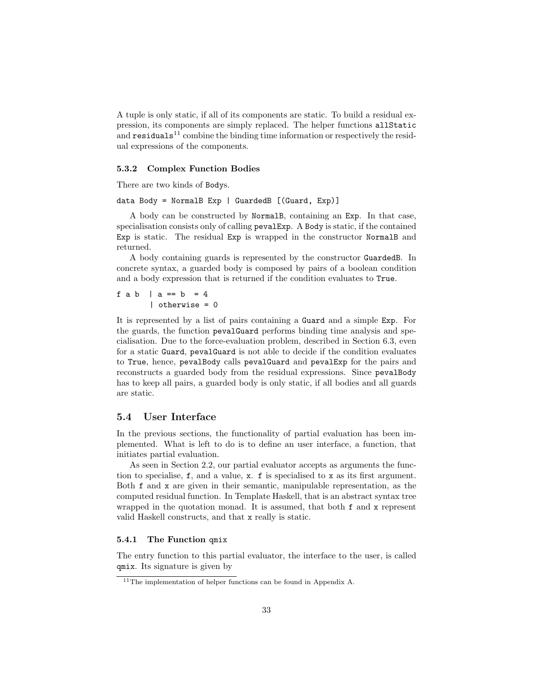A tuple is only static, if all of its components are static. To build a residual expression, its components are simply replaced. The helper functions allStatic and  $\text{residuals}^{11}$  combine the binding time information or respectively the residual expressions of the components.

#### 5.3.2 Complex Function Bodies

There are two kinds of Bodys.

data Body = NormalB Exp | GuardedB  $[(\text{Guard}, \text{Exp})]$ 

A body can be constructed by NormalB, containing an Exp. In that case, specialisation consists only of calling pevalExp. A Body is static, if the contained Exp is static. The residual Exp is wrapped in the constructor NormalB and returned.

A body containing guards is represented by the constructor GuardedB. In concrete syntax, a guarded body is composed by pairs of a boolean condition and a body expression that is returned if the condition evaluates to True.

f  $ab$  |  $a == b = 4$ | otherwise = 0

It is represented by a list of pairs containing a Guard and a simple Exp. For the guards, the function pevalGuard performs binding time analysis and specialisation. Due to the force-evaluation problem, described in Section 6.3, even for a static Guard, pevalGuard is not able to decide if the condition evaluates to True, hence, pevalBody calls pevalGuard and pevalExp for the pairs and reconstructs a guarded body from the residual expressions. Since pevalBody has to keep all pairs, a guarded body is only static, if all bodies and all guards are static.

#### 5.4 User Interface

In the previous sections, the functionality of partial evaluation has been implemented. What is left to do is to define an user interface, a function, that initiates partial evaluation.

As seen in Section 2.2, our partial evaluator accepts as arguments the function to specialise, f, and a value, x. f is specialised to x as its first argument. Both f and x are given in their semantic, manipulable representation, as the computed residual function. In Template Haskell, that is an abstract syntax tree wrapped in the quotation monad. It is assumed, that both f and x represent valid Haskell constructs, and that x really is static.

#### 5.4.1 The Function qmix

The entry function to this partial evaluator, the interface to the user, is called qmix. Its signature is given by

 $11$ The implementation of helper functions can be found in Appendix A.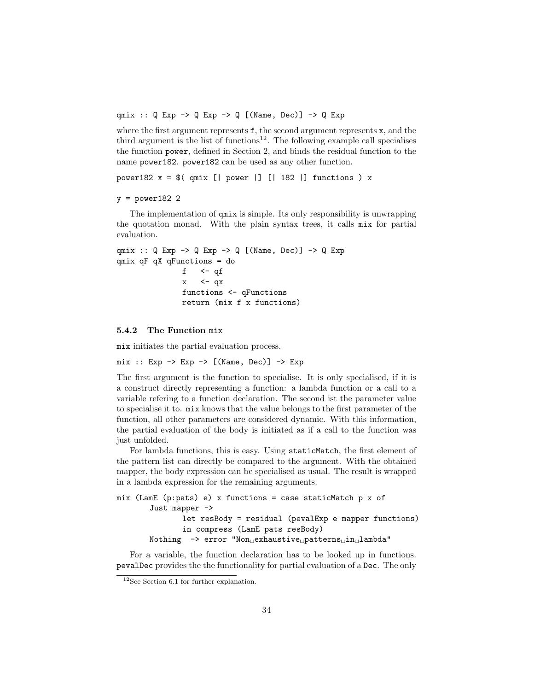qmix :: Q Exp -> Q Exp -> Q [(Name, Dec)] -> Q Exp

where the first argument represents f, the second argument represents x, and the third argument is the list of functions<sup>12</sup>. The following example call specialises the function power, defined in Section 2, and binds the residual function to the name power182. power182 can be used as any other function.

power182  $x = $$ ( qmix [| power |] [| 182 |] functions ) x

#### $y = power182$  2

The implementation of qmix is simple. Its only responsibility is unwrapping the quotation monad. With the plain syntax trees, it calls mix for partial evaluation.

```
qmix :: Q Exp \rightarrow Q Exp \rightarrow Q [(Name, Dec)] \rightarrow Q Exp
qmix qF qX qFunctions = do
                 f \leftarrow qf
                 x \leq -qxfunctions <- qFunctions
                 return (mix f x functions)
```
#### 5.4.2 The Function mix

mix initiates the partial evaluation process.

 $mix$  ::  $Exp \rightarrow Exp \rightarrow [(Name, Dec)] \rightarrow Exp$ 

The first argument is the function to specialise. It is only specialised, if it is a construct directly representing a function: a lambda function or a call to a variable refering to a function declaration. The second ist the parameter value to specialise it to. mix knows that the value belongs to the first parameter of the function, all other parameters are considered dynamic. With this information, the partial evaluation of the body is initiated as if a call to the function was just unfolded.

For lambda functions, this is easy. Using staticMatch, the first element of the pattern list can directly be compared to the argument. With the obtained mapper, the body expression can be specialised as usual. The result is wrapped in a lambda expression for the remaining arguments.

```
mix (LamE (p:pats) e) x functions = case staticMatch p x of
       Just mapper ->
              let resBody = residual (pevalExp e mapper functions)
              in compress (LamE pats resBody)
       Nothing -> error "Non exhaustive patterns in lambda"
```
For a variable, the function declaration has to be looked up in functions. pevalDec provides the the functionality for partial evaluation of a Dec. The only

<sup>12</sup>See Section 6.1 for further explanation.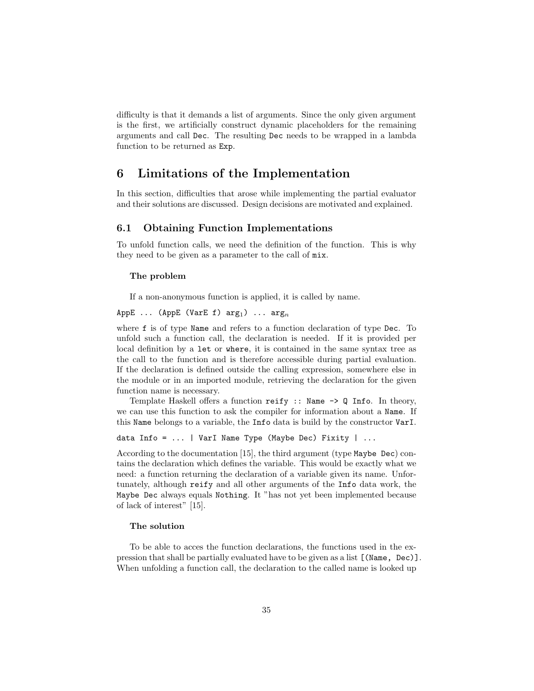difficulty is that it demands a list of arguments. Since the only given argument is the first, we artificially construct dynamic placeholders for the remaining arguments and call Dec. The resulting Dec needs to be wrapped in a lambda function to be returned as Exp.

### 6 Limitations of the Implementation

In this section, difficulties that arose while implementing the partial evaluator and their solutions are discussed. Design decisions are motivated and explained.

#### 6.1 Obtaining Function Implementations

To unfold function calls, we need the definition of the function. This is why they need to be given as a parameter to the call of mix.

#### The problem

If a non-anonymous function is applied, it is called by name.

AppE ... (AppE (VarE f)  $arg_1$ ) ...  $arg_n$ 

where f is of type Name and refers to a function declaration of type Dec. To unfold such a function call, the declaration is needed. If it is provided per local definition by a let or where, it is contained in the same syntax tree as the call to the function and is therefore accessible during partial evaluation. If the declaration is defined outside the calling expression, somewhere else in the module or in an imported module, retrieving the declaration for the given function name is necessary.

Template Haskell offers a function reify :: Name -> Q Info. In theory, we can use this function to ask the compiler for information about a Name. If this Name belongs to a variable, the Info data is build by the constructor VarI.

```
data Info = \dots | VarI Name Type (Maybe Dec) Fixity | \dots
```
According to the documentation [15], the third argument (type Maybe Dec) contains the declaration which defines the variable. This would be exactly what we need: a function returning the declaration of a variable given its name. Unfortunately, although reify and all other arguments of the Info data work, the Maybe Dec always equals Nothing. It "has not yet been implemented because of lack of interest" [15].

#### The solution

To be able to acces the function declarations, the functions used in the expression that shall be partially evaluated have to be given as a list [(Name, Dec)]. When unfolding a function call, the declaration to the called name is looked up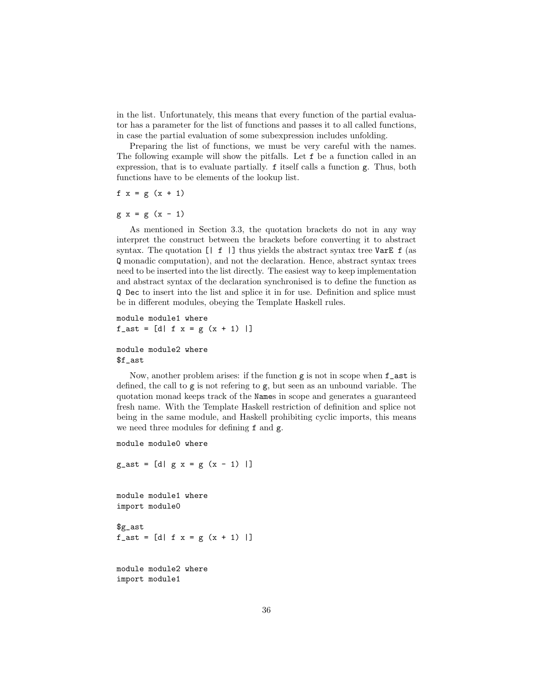in the list. Unfortunately, this means that every function of the partial evaluator has a parameter for the list of functions and passes it to all called functions, in case the partial evaluation of some subexpression includes unfolding.

Preparing the list of functions, we must be very careful with the names. The following example will show the pitfalls. Let f be a function called in an expression, that is to evaluate partially. f itself calls a function g. Thus, both functions have to be elements of the lookup list.

f  $x = g (x + 1)$ 

 $g x = g (x - 1)$ 

As mentioned in Section 3.3, the quotation brackets do not in any way interpret the construct between the brackets before converting it to abstract syntax. The quotation  $\begin{bmatrix} | & \mathbf{f} & | \end{bmatrix}$  thus yields the abstract syntax tree VarE f (as Q monadic computation), and not the declaration. Hence, abstract syntax trees need to be inserted into the list directly. The easiest way to keep implementation and abstract syntax of the declaration synchronised is to define the function as Q Dec to insert into the list and splice it in for use. Definition and splice must be in different modules, obeying the Template Haskell rules.

```
module module1 where
f_{\text{a}}ast = [d| f x = g (x + 1) |]
```
#### module module2 where \$f\_ast

Now, another problem arises: if the function  $g$  is not in scope when  $f$  ast is defined, the call to g is not refering to g, but seen as an unbound variable. The quotation monad keeps track of the Names in scope and generates a guaranteed fresh name. With the Template Haskell restriction of definition and splice not being in the same module, and Haskell prohibiting cyclic imports, this means we need three modules for defining f and g.

```
module module0 where
```
 $g_{-}$ ast = [d|  $g x = g (x - 1)$  |]

module module1 where import module0

\$g\_ast  $f_{-}$ ast = [d| f x = g (x + 1) |]

module module2 where import module1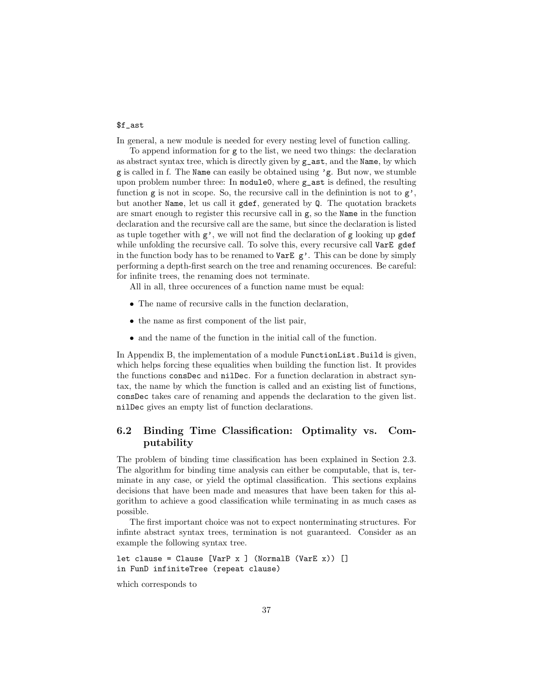#### \$f\_ast

In general, a new module is needed for every nesting level of function calling.

To append information for g to the list, we need two things: the declaration as abstract syntax tree, which is directly given by g\_ast, and the Name, by which g is called in f. The Name can easily be obtained using 'g. But now, we stumble upon problem number three: In module0, where g\_ast is defined, the resulting function  $g$  is not in scope. So, the recursive call in the definintion is not to  $g'$ , but another Name, let us call it gdef, generated by Q. The quotation brackets are smart enough to register this recursive call in  $g$ , so the Name in the function declaration and the recursive call are the same, but since the declaration is listed as tuple together with g', we will not find the declaration of g looking up gdef while unfolding the recursive call. To solve this, every recursive call VarE gdef in the function body has to be renamed to VarE  $g'$ . This can be done by simply performing a depth-first search on the tree and renaming occurences. Be careful: for infinite trees, the renaming does not terminate.

All in all, three occurences of a function name must be equal:

- The name of recursive calls in the function declaration,
- the name as first component of the list pair,
- and the name of the function in the initial call of the function.

In Appendix B, the implementation of a module FunctionList.Build is given, which helps forcing these equalities when building the function list. It provides the functions consDec and nilDec. For a function declaration in abstract syntax, the name by which the function is called and an existing list of functions, consDec takes care of renaming and appends the declaration to the given list. nilDec gives an empty list of function declarations.

### 6.2 Binding Time Classification: Optimality vs. Computability

The problem of binding time classification has been explained in Section 2.3. The algorithm for binding time analysis can either be computable, that is, terminate in any case, or yield the optimal classification. This sections explains decisions that have been made and measures that have been taken for this algorithm to achieve a good classification while terminating in as much cases as possible.

The first important choice was not to expect nonterminating structures. For infinte abstract syntax trees, termination is not guaranteed. Consider as an example the following syntax tree.

```
let clause = Clause [VarP \times ] (NormalB (VarE x)) []in FunD infiniteTree (repeat clause)
```
which corresponds to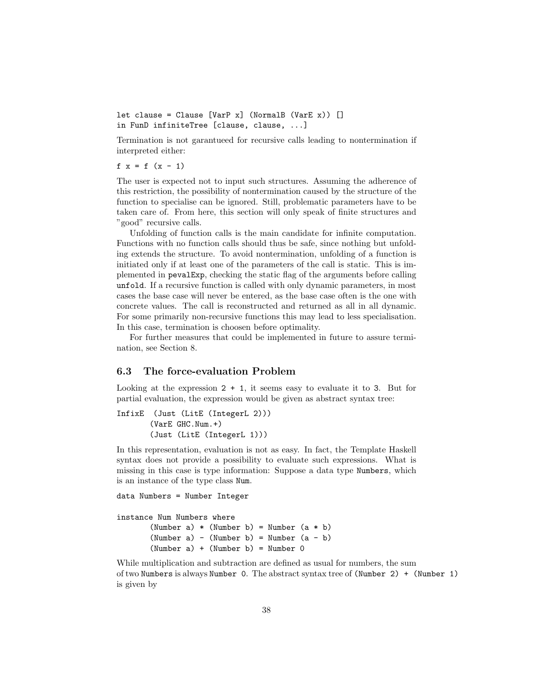```
let clause = Clause [VarP x] (NormalB (VarE x)) []in FunD infiniteTree [clause, clause, ...]
```
Termination is not garantueed for recursive calls leading to nontermination if interpreted either:

f  $x = f (x - 1)$ 

The user is expected not to input such structures. Assuming the adherence of this restriction, the possibility of nontermination caused by the structure of the function to specialise can be ignored. Still, problematic parameters have to be taken care of. From here, this section will only speak of finite structures and "good" recursive calls.

Unfolding of function calls is the main candidate for infinite computation. Functions with no function calls should thus be safe, since nothing but unfolding extends the structure. To avoid nontermination, unfolding of a function is initiated only if at least one of the parameters of the call is static. This is implemented in pevalExp, checking the static flag of the arguments before calling unfold. If a recursive function is called with only dynamic parameters, in most cases the base case will never be entered, as the base case often is the one with concrete values. The call is reconstructed and returned as all in all dynamic. For some primarily non-recursive functions this may lead to less specialisation. In this case, termination is choosen before optimality.

For further measures that could be implemented in future to assure termination, see Section 8.

#### 6.3 The force-evaluation Problem

Looking at the expression  $2 + 1$ , it seems easy to evaluate it to 3. But for partial evaluation, the expression would be given as abstract syntax tree:

```
InfixE (Just (LitE (IntegerL 2)))
       (VarE GHC.Num.+)
       (Just (LitE (IntegerL 1)))
```
In this representation, evaluation is not as easy. In fact, the Template Haskell syntax does not provide a possibility to evaluate such expressions. What is missing in this case is type information: Suppose a data type Numbers, which is an instance of the type class Num.

data Numbers = Number Integer

instance Num Numbers where

(Number a)  $*$  (Number b) = Number  $(a * b)$ (Number  $a) - (Number b) = Number (a - b)$  $(Number a) + (Number b) = Number 0$ 

While multiplication and subtraction are defined as usual for numbers, the sum of two Numbers is always Number 0. The abstract syntax tree of (Number 2) + (Number 1) is given by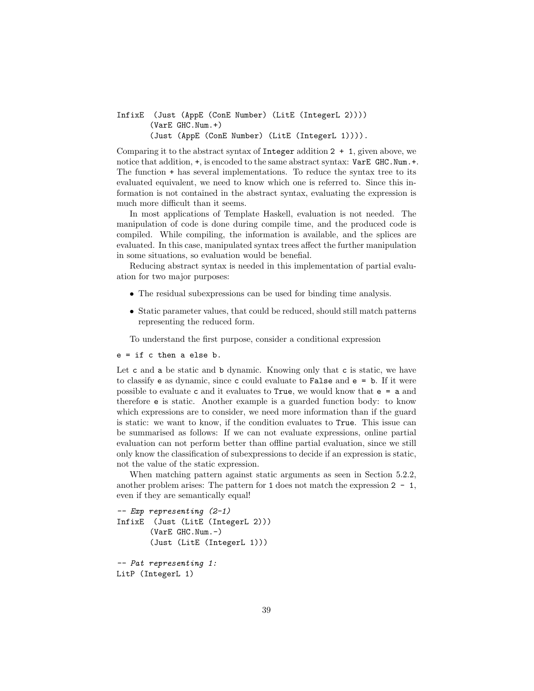#### InfixE (Just (AppE (ConE Number) (LitE (IntegerL 2)))) (VarE GHC.Num.+) (Just (AppE (ConE Number) (LitE (IntegerL 1)))).

Comparing it to the abstract syntax of Integer addition  $2 + 1$ , given above, we notice that addition,  $+$ , is encoded to the same abstract syntax: VarE GHC.Num. $+$ . The function + has several implementations. To reduce the syntax tree to its evaluated equivalent, we need to know which one is referred to. Since this information is not contained in the abstract syntax, evaluating the expression is much more difficult than it seems.

In most applications of Template Haskell, evaluation is not needed. The manipulation of code is done during compile time, and the produced code is compiled. While compiling, the information is available, and the splices are evaluated. In this case, manipulated syntax trees affect the further manipulation in some situations, so evaluation would be benefial.

Reducing abstract syntax is needed in this implementation of partial evaluation for two major purposes:

- The residual subexpressions can be used for binding time analysis.
- Static parameter values, that could be reduced, should still match patterns representing the reduced form.

To understand the first purpose, consider a conditional expression

e = if c then a else b.

Let c and a be static and b dynamic. Knowing only that c is static, we have to classify e as dynamic, since c could evaluate to False and  $e = b$ . If it were possible to evaluate c and it evaluates to True, we would know that e = a and therefore e is static. Another example is a guarded function body: to know which expressions are to consider, we need more information than if the guard is static: we want to know, if the condition evaluates to True. This issue can be summarised as follows: If we can not evaluate expressions, online partial evaluation can not perform better than offline partial evaluation, since we still only know the classification of subexpressions to decide if an expression is static, not the value of the static expression.

When matching pattern against static arguments as seen in Section 5.2.2, another problem arises: The pattern for 1 does not match the expression  $2 - 1$ , even if they are semantically equal!

```
-- Exp representing (2-1)
InfixE (Just (LitE (IntegerL 2)))
       (VarE GHC.Num.-)
       (Just (LitE (IntegerL 1)))
-- Pat representing 1:
```
LitP (IntegerL 1)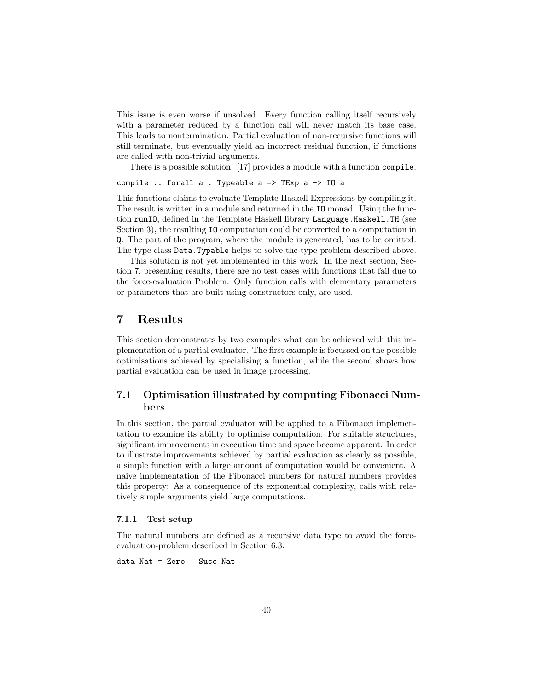This issue is even worse if unsolved. Every function calling itself recursively with a parameter reduced by a function call will never match its base case. This leads to nontermination. Partial evaluation of non-recursive functions will still terminate, but eventually yield an incorrect residual function, if functions are called with non-trivial arguments.

There is a possible solution: [17] provides a module with a function compile.

### compile :: forall a . Typeable a => TExp a -> IO a

This functions claims to evaluate Template Haskell Expressions by compiling it. The result is written in a module and returned in the IO monad. Using the function runIO, defined in the Template Haskell library Language.Haskell.TH (see Section 3), the resulting IO computation could be converted to a computation in Q. The part of the program, where the module is generated, has to be omitted. The type class Data.Typable helps to solve the type problem described above.

This solution is not yet implemented in this work. In the next section, Section 7, presenting results, there are no test cases with functions that fail due to the force-evaluation Problem. Only function calls with elementary parameters or parameters that are built using constructors only, are used.

### 7 Results

This section demonstrates by two examples what can be achieved with this implementation of a partial evaluator. The first example is focussed on the possible optimisations achieved by specialising a function, while the second shows how partial evaluation can be used in image processing.

#### 7.1 Optimisation illustrated by computing Fibonacci Numbers

In this section, the partial evaluator will be applied to a Fibonacci implementation to examine its ability to optimise computation. For suitable structures, significant improvements in execution time and space become apparent. In order to illustrate improvements achieved by partial evaluation as clearly as possible, a simple function with a large amount of computation would be convenient. A naive implementation of the Fibonacci numbers for natural numbers provides this property: As a consequence of its exponential complexity, calls with relatively simple arguments yield large computations.

#### 7.1.1 Test setup

The natural numbers are defined as a recursive data type to avoid the forceevaluation-problem described in Section 6.3.

data Nat = Zero | Succ Nat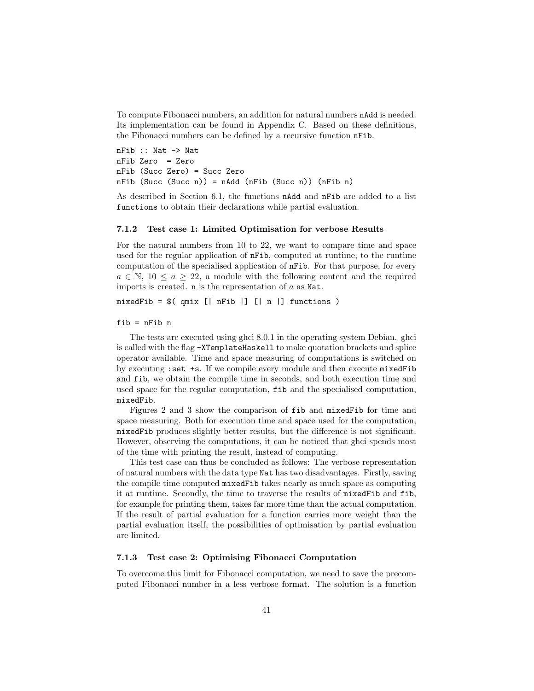To compute Fibonacci numbers, an addition for natural numbers nAdd is needed. Its implementation can be found in Appendix C. Based on these definitions, the Fibonacci numbers can be defined by a recursive function nFib.

nFib :: Nat -> Nat nFib Zero = Zero nFib (Succ Zero) = Succ Zero nFib (Succ (Succ n)) = nAdd (nFib (Succ n)) (nFib n)

As described in Section 6.1, the functions nAdd and nFib are added to a list functions to obtain their declarations while partial evaluation.

#### 7.1.2 Test case 1: Limited Optimisation for verbose Results

For the natural numbers from 10 to 22, we want to compare time and space used for the regular application of nFib, computed at runtime, to the runtime computation of the specialised application of nFib. For that purpose, for every  $a \in \mathbb{N}, 10 \leq a \geq 22$ , a module with the following content and the required imports is created.  $n$  is the representation of  $a$  as Nat.

 $mixedFib = $($  qmix  $[$  | nFib  $]$   $[$  | n  $]$  functions  $)$ 

#### fib = nFib n

The tests are executed using ghci 8.0.1 in the operating system Debian. ghci is called with the flag -XTemplateHaskell to make quotation brackets and splice operator available. Time and space measuring of computations is switched on by executing :set +s. If we compile every module and then execute mixedFib and fib, we obtain the compile time in seconds, and both execution time and used space for the regular computation, fib and the specialised computation, mixedFib.

Figures 2 and 3 show the comparison of fib and mixedFib for time and space measuring. Both for execution time and space used for the computation, mixedFib produces slightly better results, but the difference is not significant. However, observing the computations, it can be noticed that ghci spends most of the time with printing the result, instead of computing.

This test case can thus be concluded as follows: The verbose representation of natural numbers with the data type Nat has two disadvantages. Firstly, saving the compile time computed mixedFib takes nearly as much space as computing it at runtime. Secondly, the time to traverse the results of mixedFib and fib, for example for printing them, takes far more time than the actual computation. If the result of partial evaluation for a function carries more weight than the partial evaluation itself, the possibilities of optimisation by partial evaluation are limited.

#### 7.1.3 Test case 2: Optimising Fibonacci Computation

To overcome this limit for Fibonacci computation, we need to save the precomputed Fibonacci number in a less verbose format. The solution is a function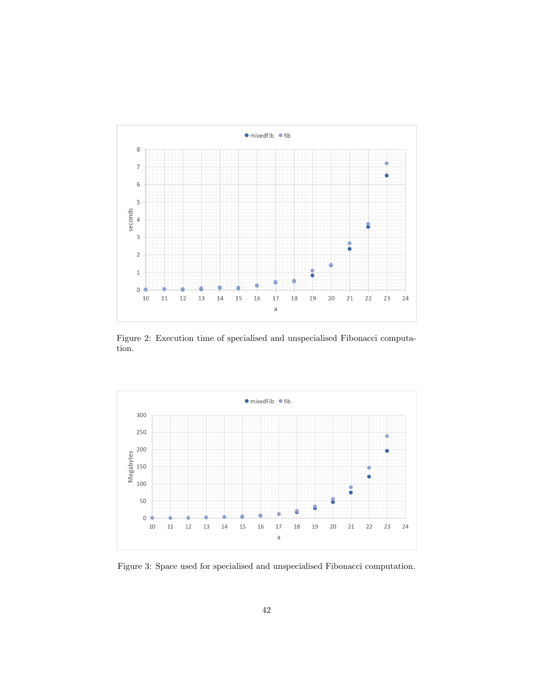

Figure 2: Execution time of specialised and unspecialised Fibonacci computation.



Figure 3: Space used for specialised and unspecialised Fibonacci computation.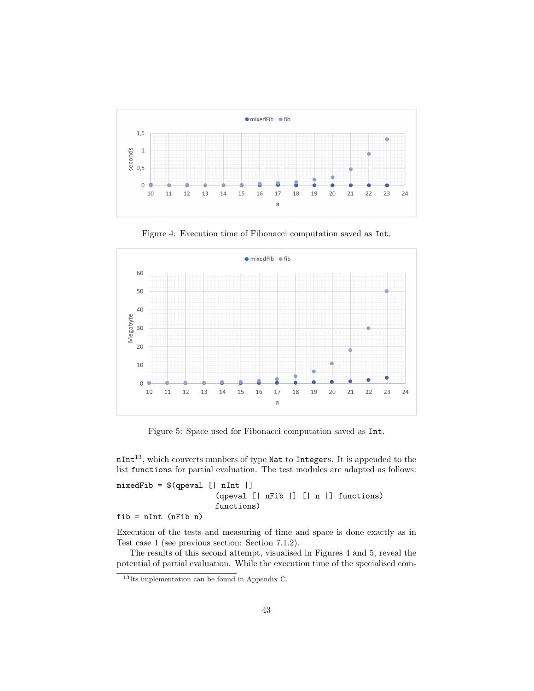

Figure 4: Execution time of Fibonacci computation saved as Int.



Figure 5: Space used for Fibonacci computation saved as Int.

nInt13, which converts numbers of type Nat to Integers. It is appended to the list functions for partial evaluation. The test modules are adapted as follows:

```
mixedFib = $(qpeval [[nInt ]](qpeval [| nFib |] [| n |] functions)
                     functions)
```
fib = nInt (nFib n)

Execution of the tests and measuring of time and space is done exactly as in Test case 1 (see previous section: Section 7.1.2).

The results of this second attempt, visualised in Figures 4 and 5, reveal the potential of partial evaluation. While the execution time of the specialised com-

<sup>13</sup>Its implementation can be found in Appendix C.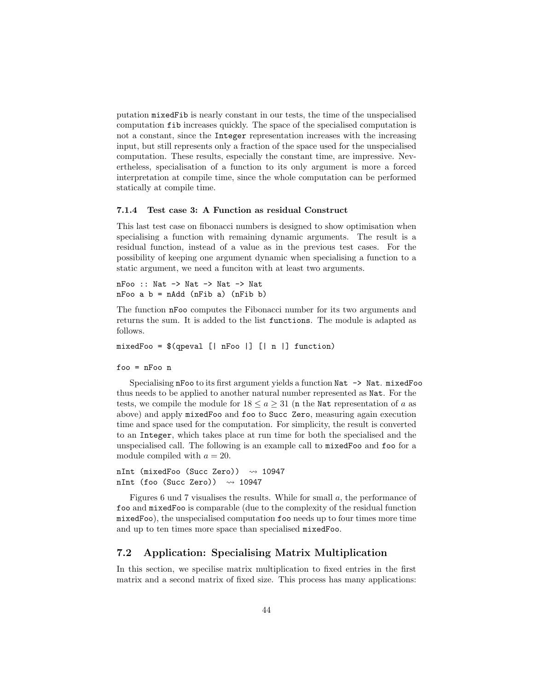putation mixedFib is nearly constant in our tests, the time of the unspecialised computation fib increases quickly. The space of the specialised computation is not a constant, since the Integer representation increases with the increasing input, but still represents only a fraction of the space used for the unspecialised computation. These results, especially the constant time, are impressive. Nevertheless, specialisation of a function to its only argument is more a forced interpretation at compile time, since the whole computation can be performed statically at compile time.

#### 7.1.4 Test case 3: A Function as residual Construct

This last test case on fibonacci numbers is designed to show optimisation when specialising a function with remaining dynamic arguments. The result is a residual function, instead of a value as in the previous test cases. For the possibility of keeping one argument dynamic when specialising a function to a static argument, we need a funciton with at least two arguments.

nFoo :: Nat -> Nat -> Nat -> Nat  $nF$ oo a  $b = nA$ dd  $(nFib a)$   $(nFib b)$ 

The function nFoo computes the Fibonacci number for its two arguments and returns the sum. It is added to the list functions. The module is adapted as follows.

```
mixedFoo = $(qpeval [| nFoo |] [| n |] function)
```

```
foo = nFoo n
```
Specialising nFoo to its first argument yields a function Nat  $\rightarrow$  Nat. mixedFoo thus needs to be applied to another natural number represented as Nat. For the tests, we compile the module for  $18 \le a \ge 31$  (n the Nat representation of a as above) and apply mixedFoo and foo to Succ Zero, measuring again execution time and space used for the computation. For simplicity, the result is converted to an Integer, which takes place at run time for both the specialised and the unspecialised call. The following is an example call to mixedFoo and foo for a module compiled with  $a = 20$ .

```
nInt (mixedFoo (Succ Zero)) \rightsquigarrow 10947
nInt (foo (Succ Zero)) \rightsquigarrow 10947
```
Figures 6 und 7 visualises the results. While for small a, the performance of foo and mixedFoo is comparable (due to the complexity of the residual function mixedFoo), the unspecialised computation foo needs up to four times more time and up to ten times more space than specialised mixedFoo.

#### 7.2 Application: Specialising Matrix Multiplication

In this section, we specilise matrix multiplication to fixed entries in the first matrix and a second matrix of fixed size. This process has many applications: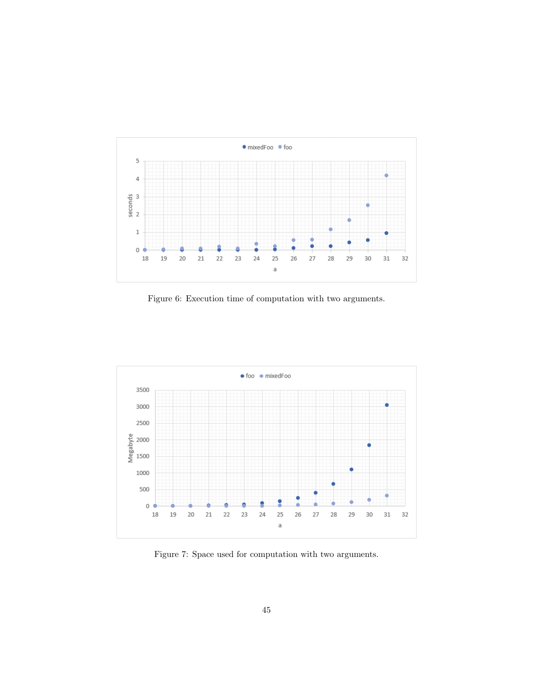

Figure 6: Execution time of computation with two arguments.



Figure 7: Space used for computation with two arguments.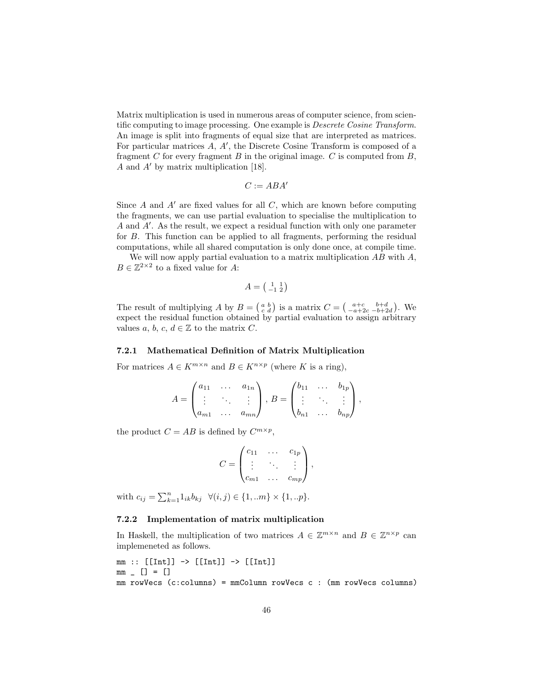Matrix multiplication is used in numerous areas of computer science, from scientific computing to image processing. One example is Descrete Cosine Transform. An image is split into fragments of equal size that are interpreted as matrices. For particular matrices  $A, A'$ , the Discrete Cosine Transform is composed of a fragment C for every fragment B in the original image. C is computed from  $B$ , A and  $A'$  by matrix multiplication [18].

$$
C := ABA'
$$

Since A and  $A'$  are fixed values for all C, which are known before computing the fragments, we can use partial evaluation to specialise the multiplication to  $A$  and  $A'$ . As the result, we expect a residual function with only one parameter for B. This function can be applied to all fragments, performing the residual computations, while all shared computation is only done once, at compile time.

We will now apply partial evaluation to a matrix multiplication  $AB$  with  $A$ ,  $B \in \mathbb{Z}^{2 \times 2}$  to a fixed value for A:

$$
A = \left(\begin{smallmatrix} 1 & 1 \\ -1 & 2 \end{smallmatrix}\right)
$$

The result of multiplying A by  $B = \begin{pmatrix} a & b \\ c & d \end{pmatrix}$  is a matrix  $C = \begin{pmatrix} a+c & b+d \\ -a+2c & -b+2d \end{pmatrix}$ . We expect the residual function obtained by partial evaluation to assign arbitrary values a, b, c,  $d \in \mathbb{Z}$  to the matrix C.

#### 7.2.1 Mathematical Definition of Matrix Multiplication

For matrices  $A \in K^{m \times n}$  and  $B \in K^{n \times p}$  (where K is a ring),

$$
A = \begin{pmatrix} a_{11} & \cdots & a_{1n} \\ \vdots & \ddots & \vdots \\ a_{m1} & \cdots & a_{mn} \end{pmatrix}, B = \begin{pmatrix} b_{11} & \cdots & b_{1p} \\ \vdots & \ddots & \vdots \\ b_{n1} & \cdots & b_{np} \end{pmatrix},
$$

the product  $C = AB$  is defined by  $C^{m \times p}$ ,

$$
C = \begin{pmatrix} c_{11} & \cdots & c_{1p} \\ \vdots & \ddots & \vdots \\ c_{m1} & \cdots & c_{mp} \end{pmatrix},
$$

with  $c_{ij} = \sum_{k=1}^{n} 1_{ik} b_{kj} \quad \forall (i, j) \in \{1, ...m\} \times \{1, ...p\}.$ 

#### 7.2.2 Implementation of matrix multiplication

In Haskell, the multiplication of two matrices  $A \in \mathbb{Z}^{m \times n}$  and  $B \in \mathbb{Z}^{n \times p}$  can implemeneted as follows.

```
mm :: [[Int]] \rightarrow [[Int]] \rightarrow [[Int]]mm \_ [] = []mm rowVecs (c:columns) = mmColumn rowVecs c : (mm rowVecs columns)
```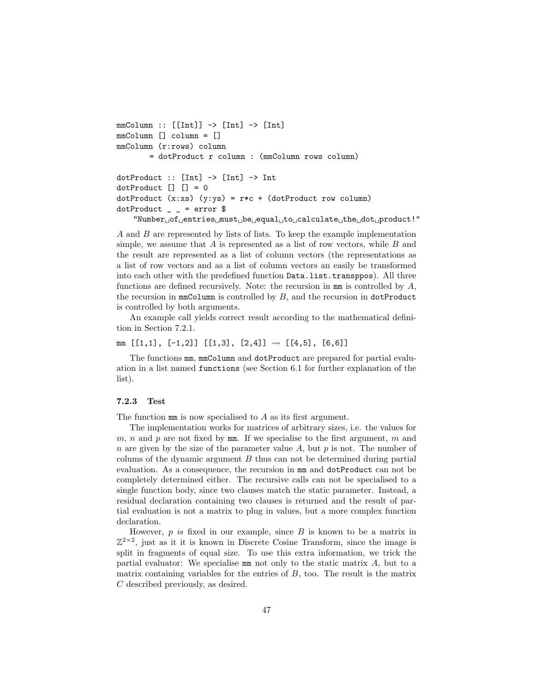```
mmColumn :: [[Int]] \rightarrow [Int] \rightarrow [Int]mmColumn [] column = []
mmColumn (r:rows) column
          = dotProduct r column : (mmColumn rows column)
dotProduct :: [Int] \rightarrow [Int] \rightarrow IntdotProduct [] [] = 0dotProduct (x:xs) (y:ys) = r*c + (dotProduct row column)dotProduct = = error $
     "Number<sub>U</sub> of<sub>U</sub> entries<sub>U</sub> must<sub>U</sub> be<sub>U</sub> equal<sub>U</sub> to<sub>U</sub> calculate<sub>U</sub> the<sub>U</sub> dot<sub>U</sub> product!"
```
A and B are represented by lists of lists. To keep the example implementation simple, we assume that  $A$  is represented as a list of row vectors, while  $B$  and the result are represented as a list of column vectors (the representations as a list of row vectors and as a list of column vectors an easily be transformed into each other with the predefined function Data.list.transppos). All three functions are defined recursively. Note: the recursion in  $mm$  is controlled by  $A$ , the recursion in  $mm$ Column is controlled by  $B$ , and the recursion in dotProduct is controlled by both arguments.

An example call yields correct result according to the mathematical definition in Section 7.2.1.

mm  $[[1,1], [-1,2]] [[1,3], [2,4]] \rightsquigarrow [[4,5], [6,6]]$ 

The functions mm, mmColumn and dotProduct are prepared for partial evaluation in a list named functions (see Section 6.1 for further explanation of the list).

#### 7.2.3 Test

The function  $mm$  is now specialised to A as its first argument.

The implementation works for matrices of arbitrary sizes, i.e. the values for m, n and p are not fixed by  $mm$ . If we specialise to the first argument, m and n are given by the size of the parameter value A, but p is not. The number of colums of the dynamic argument  $B$  thus can not be determined during partial evaluation. As a consequence, the recursion in mm and dotProduct can not be completely determined either. The recursive calls can not be specialised to a single function body, since two clauses match the static parameter. Instead, a residual declaration containing two clauses is returned and the result of partial evaluation is not a matrix to plug in values, but a more complex function declaration.

However,  $p$  is fixed in our example, since  $B$  is known to be a matrix in  $\mathbb{Z}^{2\times2}$ , just as it it is known in Discrete Cosine Transform, since the image is split in fragments of equal size. To use this extra information, we trick the partial evaluator: We specialise  $mm$  not only to the static matrix  $A$ , but to a matrix containing variables for the entries of  $B$ , too. The result is the matrix C described previously, as desired.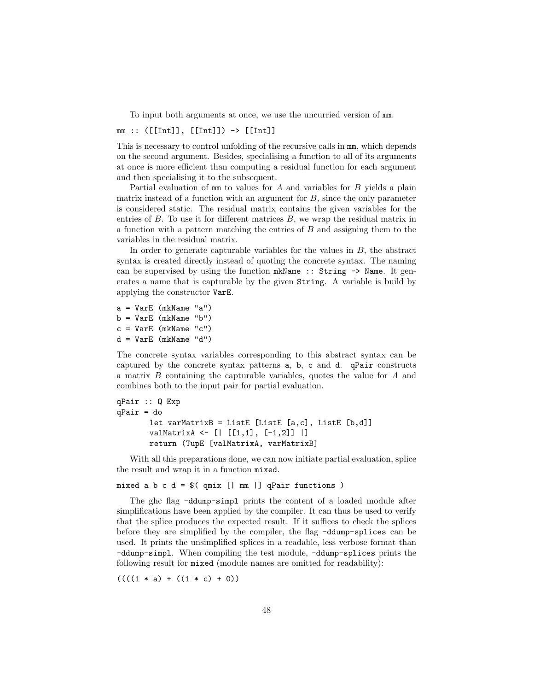To input both arguments at once, we use the uncurried version of mm.

 $mm :: ([[Int]], [[Int]]) \rightarrow [[Int]]]$ 

This is necessary to control unfolding of the recursive calls in mm, which depends on the second argument. Besides, specialising a function to all of its arguments at once is more efficient than computing a residual function for each argument and then specialising it to the subsequent.

Partial evaluation of  $mm$  to values for  $A$  and variables for  $B$  yields a plain matrix instead of a function with an argument for  $B$ , since the only parameter is considered static. The residual matrix contains the given variables for the entries of  $B$ . To use it for different matrices  $B$ , we wrap the residual matrix in a function with a pattern matching the entries of B and assigning them to the variables in the residual matrix.

In order to generate capturable variables for the values in  $B$ , the abstract syntax is created directly instead of quoting the concrete syntax. The naming can be supervised by using the function mkName :: String -> Name. It generates a name that is capturable by the given String. A variable is build by applying the constructor VarE.

```
a = VarE (mkName "a")
b = VarE (mkName "b")
c = VarE (mkName "c")
d = VarE (mkName "d")
```
The concrete syntax variables corresponding to this abstract syntax can be captured by the concrete syntax patterns a, b, c and d. qPair constructs a matrix B containing the capturable variables, quotes the value for A and combines both to the input pair for partial evaluation.

```
qPair :: Q Exp
qPair = do
       let \space varMatrixB = ListE [ListE [a,c], ListE [b,d]]valMatrixA <- [| [[1,1], [-1,2]] |]
       return (TupE [valMatrixA, varMatrixB]
```
With all this preparations done, we can now initiate partial evaluation, splice the result and wrap it in a function mixed.

mixed a b c d =  $$(qmix [ | mm ]] qPair functions )$ 

The ghc flag -ddump-simpl prints the content of a loaded module after simplifications have been applied by the compiler. It can thus be used to verify that the splice produces the expected result. If it suffices to check the splices before they are simplified by the compiler, the flag -ddump-splices can be used. It prints the unsimplified splices in a readable, less verbose format than -ddump-simpl. When compiling the test module, -ddump-splices prints the following result for mixed (module names are omitted for readability):

 $(((1 * a) + ((1 * c) + 0))$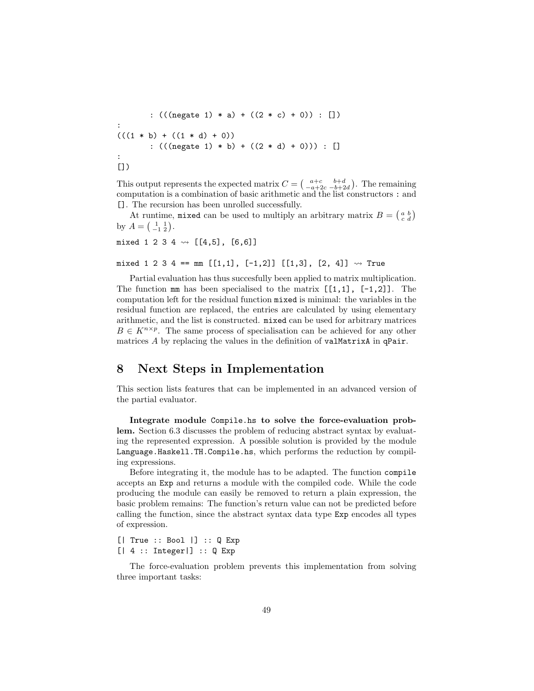:  $(((\text{negative } 1) * a) + ((2 * c) + 0)) : []$ :  $(((1 * b) + ((1 * d) + 0))$ :  $(((\text{negative } 1) * b) + ((2 * d) + 0))) : []$ : [])

This output represents the expected matrix  $C = \begin{pmatrix} a+c & b+d \\ -a+2c & -b+2d \end{pmatrix}$ . The remaining computation is a combination of basic arithmetic and the list constructors : and []. The recursion has been unrolled successfully.

At runtime, mixed can be used to multiply an arbitrary matrix  $B = \begin{pmatrix} a & b \\ c & d \end{pmatrix}$ by  $A = \begin{pmatrix} 1 & 1 \\ -1 & 2 \end{pmatrix}$ .

mixed 1 2 3 4  $\rightsquigarrow$  [[4,5], [6,6]]

mixed 1 2 3 4 == mm  $[[1,1], [-1,2]]$   $[[1,3], [2, 4]] \rightsquigarrow$  True

Partial evaluation has thus succesfully been applied to matrix multiplication. The function  $mm$  has been specialised to the matrix  $[[1,1], [-1,2]]$ . The computation left for the residual function mixed is minimal: the variables in the residual function are replaced, the entries are calculated by using elementary arithmetic, and the list is constructed. mixed can be used for arbitrary matrices  $B \in K^{n \times p}$ . The same process of specialisation can be achieved for any other matrices A by replacing the values in the definition of valMatrixA in qPair.

### 8 Next Steps in Implementation

This section lists features that can be implemented in an advanced version of the partial evaluator.

Integrate module Compile.hs to solve the force-evaluation problem. Section 6.3 discusses the problem of reducing abstract syntax by evaluating the represented expression. A possible solution is provided by the module Language.Haskell.TH.Compile.hs, which performs the reduction by compiling expressions.

Before integrating it, the module has to be adapted. The function compile accepts an Exp and returns a module with the compiled code. While the code producing the module can easily be removed to return a plain expression, the basic problem remains: The function's return value can not be predicted before calling the function, since the abstract syntax data type Exp encodes all types of expression.

[| True :: Bool |] :: Q Exp  $[ | 4 : : 1nteger | ] :: Q Exp$ 

The force-evaluation problem prevents this implementation from solving three important tasks: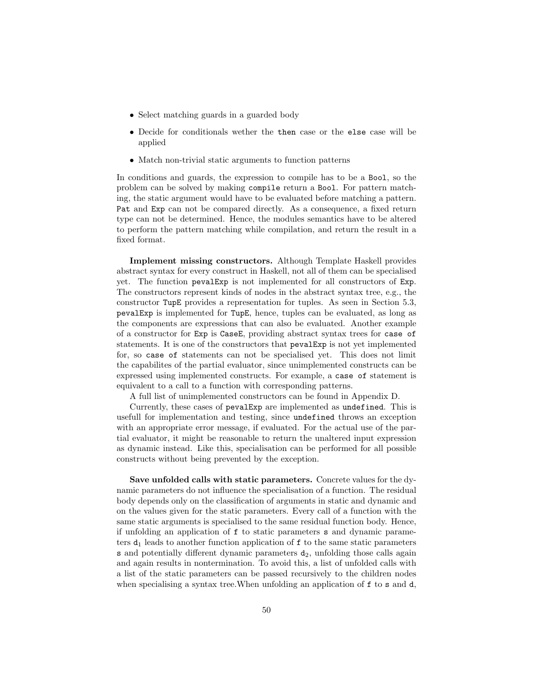- Select matching guards in a guarded body
- Decide for conditionals wether the then case or the else case will be applied
- Match non-trivial static arguments to function patterns

In conditions and guards, the expression to compile has to be a Bool, so the problem can be solved by making compile return a Bool. For pattern matching, the static argument would have to be evaluated before matching a pattern. Pat and Exp can not be compared directly. As a consequence, a fixed return type can not be determined. Hence, the modules semantics have to be altered to perform the pattern matching while compilation, and return the result in a fixed format.

Implement missing constructors. Although Template Haskell provides abstract syntax for every construct in Haskell, not all of them can be specialised yet. The function pevalExp is not implemented for all constructors of Exp. The constructors represent kinds of nodes in the abstract syntax tree, e.g., the constructor TupE provides a representation for tuples. As seen in Section 5.3, pevalExp is implemented for TupE, hence, tuples can be evaluated, as long as the components are expressions that can also be evaluated. Another example of a constructor for Exp is CaseE, providing abstract syntax trees for case of statements. It is one of the constructors that pevalExp is not yet implemented for, so case of statements can not be specialised yet. This does not limit the capabilites of the partial evaluator, since unimplemented constructs can be expressed using implemented constructs. For example, a case of statement is equivalent to a call to a function with corresponding patterns.

A full list of unimplemented constructors can be found in Appendix D.

Currently, these cases of pevalExp are implemented as undefined. This is usefull for implementation and testing, since undefined throws an exception with an appropriate error message, if evaluated. For the actual use of the partial evaluator, it might be reasonable to return the unaltered input expression as dynamic instead. Like this, specialisation can be performed for all possible constructs without being prevented by the exception.

Save unfolded calls with static parameters. Concrete values for the dynamic parameters do not influence the specialisation of a function. The residual body depends only on the classification of arguments in static and dynamic and on the values given for the static parameters. Every call of a function with the same static arguments is specialised to the same residual function body. Hence, if unfolding an application of f to static parameters s and dynamic parameters  $d_1$  leads to another function application of  $f$  to the same static parameters s and potentially different dynamic parameters  $d_2$ , unfolding those calls again and again results in nontermination. To avoid this, a list of unfolded calls with a list of the static parameters can be passed recursively to the children nodes when specialising a syntax tree. When unfolding an application of f to s and d,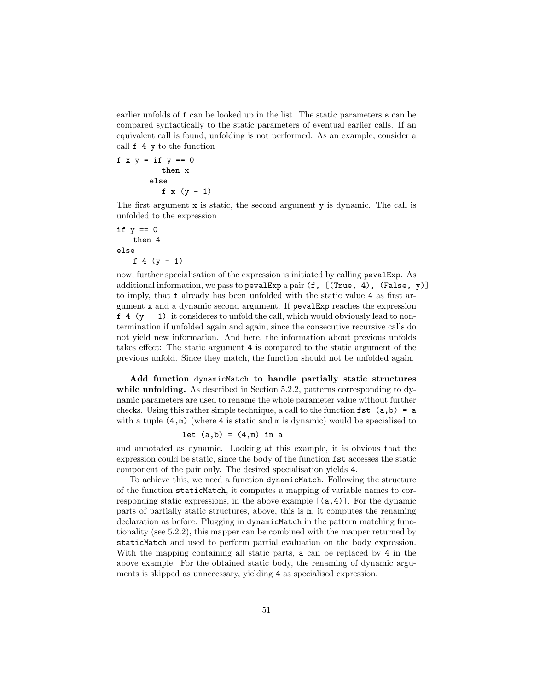earlier unfolds of f can be looked up in the list. The static parameters s can be compared syntactically to the static parameters of eventual earlier calls. If an equivalent call is found, unfolding is not performed. As an example, consider a call f 4 y to the function

f  $x y = if y == 0$ then x else f  $x (y - 1)$ 

The first argument x is static, the second argument y is dynamic. The call is unfolded to the expression

```
if y == 0then 4
else
   f 4 (y - 1)
```
now, further specialisation of the expression is initiated by calling pevalExp. As additional information, we pass to pevalExp a pair  $(f, [(\text{True}, 4), (\text{False}, y)]$ to imply, that f already has been unfolded with the static value 4 as first argument x and a dynamic second argument. If pevalExp reaches the expression  $f(4 (y - 1))$ , it consideres to unfold the call, which would obviously lead to nontermination if unfolded again and again, since the consecutive recursive calls do not yield new information. And here, the information about previous unfolds takes effect: The static argument 4 is compared to the static argument of the previous unfold. Since they match, the function should not be unfolded again.

Add function dynamicMatch to handle partially static structures while unfolding. As described in Section 5.2.2, patterns corresponding to dynamic parameters are used to rename the whole parameter value without further checks. Using this rather simple technique, a call to the function  $fst(a,b) = a$ with a tuple  $(4,m)$  (where 4 is static and  $m$  is dynamic) would be specialised to

let 
$$
(a,b) = (4,m)
$$
 in a

and annotated as dynamic. Looking at this example, it is obvious that the expression could be static, since the body of the function fst accesses the static component of the pair only. The desired specialisation yields 4.

To achieve this, we need a function dynamicMatch. Following the structure of the function staticMatch, it computes a mapping of variable names to corresponding static expressions, in the above example  $[(a,4)]$ . For the dynamic parts of partially static structures, above, this is m, it computes the renaming declaration as before. Plugging in dynamicMatch in the pattern matching functionality (see 5.2.2), this mapper can be combined with the mapper returned by staticMatch and used to perform partial evaluation on the body expression. With the mapping containing all static parts, a can be replaced by 4 in the above example. For the obtained static body, the renaming of dynamic arguments is skipped as unnecessary, yielding 4 as specialised expression.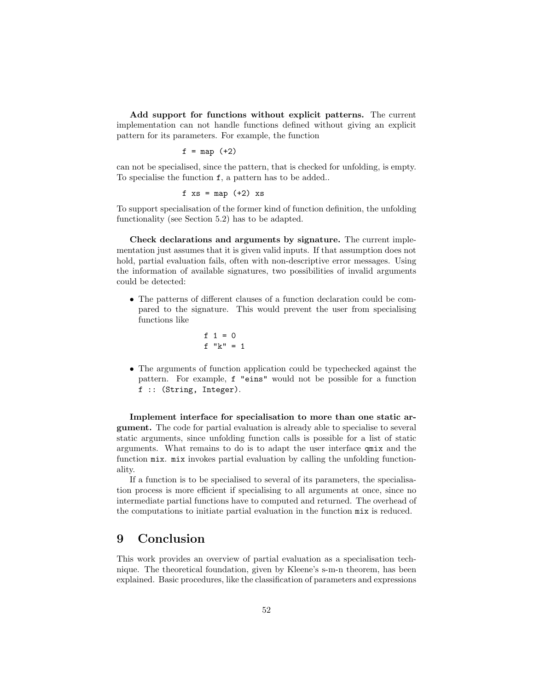Add support for functions without explicit patterns. The current implementation can not handle functions defined without giving an explicit pattern for its parameters. For example, the function

$$
f = map (+2)
$$

can not be specialised, since the pattern, that is checked for unfolding, is empty. To specialise the function f, a pattern has to be added..

$$
f xs = map (+2) xs
$$

To support specialisation of the former kind of function definition, the unfolding functionality (see Section 5.2) has to be adapted.

Check declarations and arguments by signature. The current implementation just assumes that it is given valid inputs. If that assumption does not hold, partial evaluation fails, often with non-descriptive error messages. Using the information of available signatures, two possibilities of invalid arguments could be detected:

• The patterns of different clauses of a function declaration could be compared to the signature. This would prevent the user from specialising functions like

$$
f 1 = 0
$$
  

$$
f "k" = 1
$$

• The arguments of function application could be typechecked against the pattern. For example, f "eins" would not be possible for a function f :: (String, Integer).

Implement interface for specialisation to more than one static argument. The code for partial evaluation is already able to specialise to several static arguments, since unfolding function calls is possible for a list of static arguments. What remains to do is to adapt the user interface qmix and the function mix. mix invokes partial evaluation by calling the unfolding functionality.

If a function is to be specialised to several of its parameters, the specialisation process is more efficient if specialising to all arguments at once, since no intermediate partial functions have to computed and returned. The overhead of the computations to initiate partial evaluation in the function mix is reduced.

### 9 Conclusion

This work provides an overview of partial evaluation as a specialisation technique. The theoretical foundation, given by Kleene's s-m-n theorem, has been explained. Basic procedures, like the classification of parameters and expressions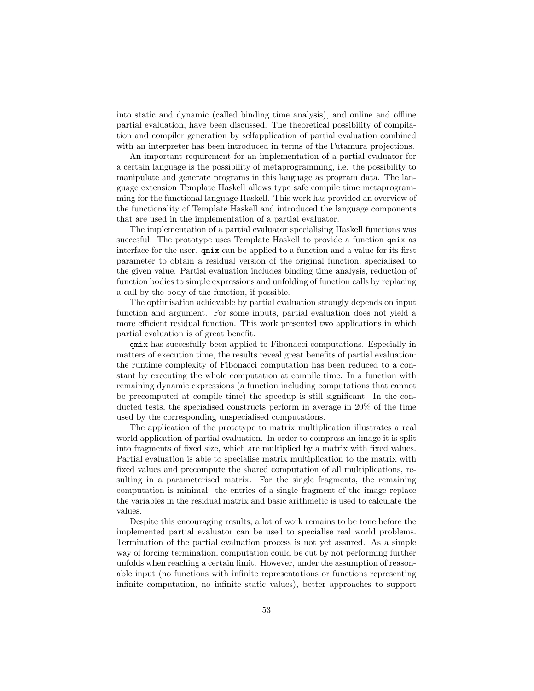into static and dynamic (called binding time analysis), and online and offline partial evaluation, have been discussed. The theoretical possibility of compilation and compiler generation by selfapplication of partial evaluation combined with an interpreter has been introduced in terms of the Futamura projections.

An important requirement for an implementation of a partial evaluator for a certain language is the possibility of metaprogramming, i.e. the possibility to manipulate and generate programs in this language as program data. The language extension Template Haskell allows type safe compile time metaprogramming for the functional language Haskell. This work has provided an overview of the functionality of Template Haskell and introduced the language components that are used in the implementation of a partial evaluator.

The implementation of a partial evaluator specialising Haskell functions was succesful. The prototype uses Template Haskell to provide a function qmix as interface for the user. qmix can be applied to a function and a value for its first parameter to obtain a residual version of the original function, specialised to the given value. Partial evaluation includes binding time analysis, reduction of function bodies to simple expressions and unfolding of function calls by replacing a call by the body of the function, if possible.

The optimisation achievable by partial evaluation strongly depends on input function and argument. For some inputs, partial evaluation does not yield a more efficient residual function. This work presented two applications in which partial evaluation is of great benefit.

qmix has succesfully been applied to Fibonacci computations. Especially in matters of execution time, the results reveal great benefits of partial evaluation: the runtime complexity of Fibonacci computation has been reduced to a constant by executing the whole computation at compile time. In a function with remaining dynamic expressions (a function including computations that cannot be precomputed at compile time) the speedup is still significant. In the conducted tests, the specialised constructs perform in average in 20% of the time used by the corresponding unspecialised computations.

The application of the prototype to matrix multiplication illustrates a real world application of partial evaluation. In order to compress an image it is split into fragments of fixed size, which are multiplied by a matrix with fixed values. Partial evaluation is able to specialise matrix multiplication to the matrix with fixed values and precompute the shared computation of all multiplications, resulting in a parameterised matrix. For the single fragments, the remaining computation is minimal: the entries of a single fragment of the image replace the variables in the residual matrix and basic arithmetic is used to calculate the values.

Despite this encouraging results, a lot of work remains to be tone before the implemented partial evaluator can be used to specialise real world problems. Termination of the partial evaluation process is not yet assured. As a simple way of forcing termination, computation could be cut by not performing further unfolds when reaching a certain limit. However, under the assumption of reasonable input (no functions with infinite representations or functions representing infinite computation, no infinite static values), better approaches to support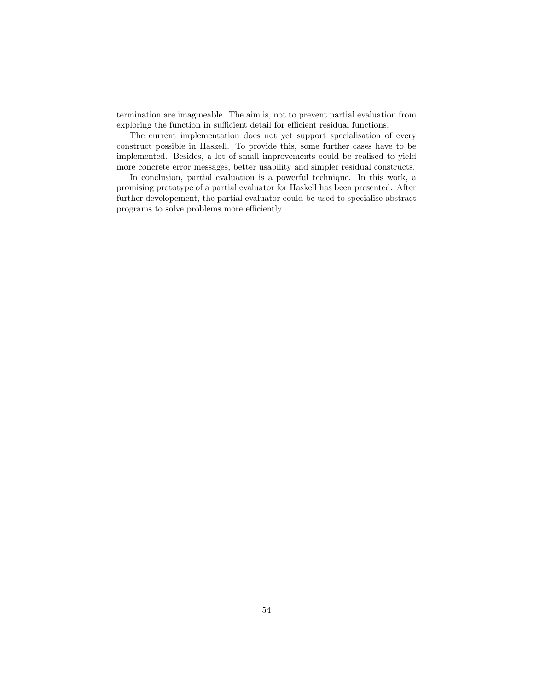termination are imagineable. The aim is, not to prevent partial evaluation from exploring the function in sufficient detail for efficient residual functions.

The current implementation does not yet support specialisation of every construct possible in Haskell. To provide this, some further cases have to be implemented. Besides, a lot of small improvements could be realised to yield more concrete error messages, better usability and simpler residual constructs.

In conclusion, partial evaluation is a powerful technique. In this work, a promising prototype of a partial evaluator for Haskell has been presented. After further developement, the partial evaluator could be used to specialise abstract programs to solve problems more efficiently.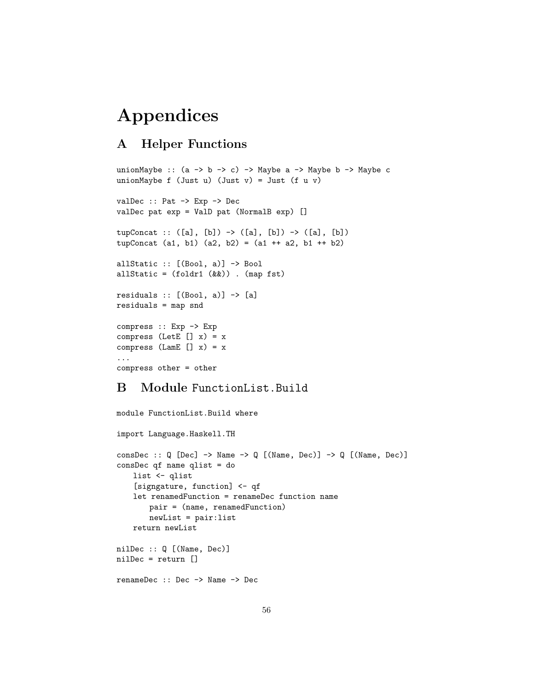# Appendices

### A Helper Functions

```
unionMaybe :: (a \rightarrow b \rightarrow c) \rightarrow Maybe a \rightarrow Maybe b \rightarrow Maybe c
unionMaybe f (Just u) (Just v) = Just (f u v)
valDec :: Pat -> Exp -> Dec
valDec pat exp = ValD pat (NormalB exp) []
tupConcat :: ([a], [b]) \rightarrow ([a], [b]) \rightarrow ([a], [b])tupConcat (a1, b1) (a2, b2) = (a1 ++ a2, b1 ++ b2)
allStatic :: [(Bool, a)] -> Bool
allStatic = (foldr1 (kk)). (map fst)
residuals :: [(Bool, a)] \rightarrow [a]
residuals = map snd
compress :: Exp -> Exp
compress (LetE [] x) = xcompress (LamE [] x) = x...
compress other = other
```
### B Module FunctionList.Build

```
module FunctionList.Build where
import Language.Haskell.TH
consDec :: Q [Dec] -> Name -> Q [(Name, Dec)] -> Q [(Name, Dec)]
consDec qf name qlist = do
   list <- qlist
   [signgature, function] <- qf
   let renamedFunction = renameDec function name
       pair = (name, renamedFunction)
       newList = pair:list
   return newList
nilDec :: Q [(Name, Dec)]
nilDec = return []
renameDec :: Dec -> Name -> Dec
```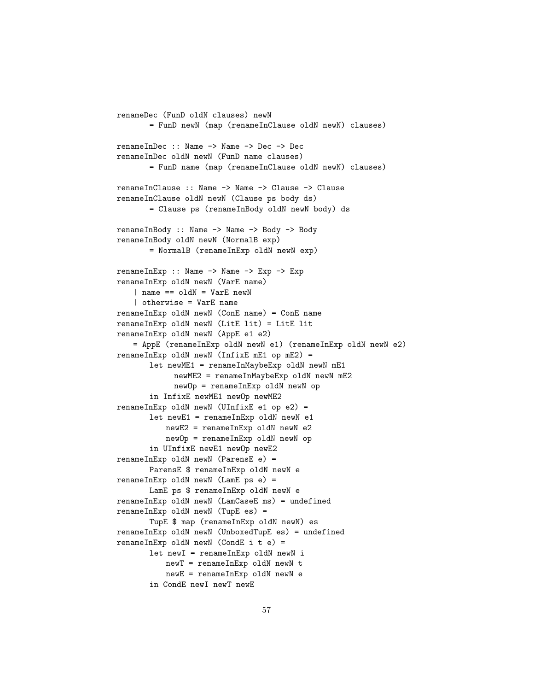```
renameDec (FunD oldN clauses) newN
       = FunD newN (map (renameInClause oldN newN) clauses)
renameInDec :: Name -> Name -> Dec -> Dec
renameInDec oldN newN (FunD name clauses)
       = FunD name (map (renameInClause oldN newN) clauses)
renameInClause :: Name -> Name -> Clause -> Clause
renameInClause oldN newN (Clause ps body ds)
       = Clause ps (renameInBody oldN newN body) ds
renameInBody :: Name -> Name -> Body -> Body
renameInBody oldN newN (NormalB exp)
       = NormalB (renameInExp oldN newN exp)
renameInExp :: Name -> Name -> Exp -> Exp
renameInExp oldN newN (VarE name)
   | name == oldN = VarE newN
   | otherwise = VarE name
renameInExp oldN newN (ConE name) = ConE name
renameInExp oldN newN (LitE lit) = LitE lit
renameInExp oldN newN (AppE e1 e2)
   = AppE (renameInExp oldN newN e1) (renameInExp oldN newN e2)
renameInExp oldN newN (InfixE mE1 op mE2) =
       let newME1 = renameInMaybeExp oldN newN mE1
            newME2 = renameInMaybeExp oldN newN mE2
            newOp = renameInExp oldN newN op
       in InfixE newME1 newOp newME2
renameInExp oldN newN (UInfixE e1 op e2) =
       let newE1 = renameInExp oldN newN e1
          newE2 = renameInExp oldN newN e2
          newOp = renameInExp oldN newN op
       in UInfixE newE1 newOp newE2
renameInExp oldN newN (ParensE e) =
       ParensE $ renameInExp oldN newN e
renameInExp oldN newN (LamE ps e) =
       LamE ps $ renameInExp oldN newN e
renameInExp oldN newN (LamCaseE ms) = undefined
renameInExp oldN newN (TupE es) =
       TupE $ map (renameInExp oldN newN) es
renameInExp oldN newN (UnboxedTupE es) = undefined
renameInExp oldN newN (CondE i t e) =
       let newI = renameInExp oldN newN i
          newT = renameInExp oldN newN t
          newE = renameInExp oldN newN e
       in CondE newI newT newE
```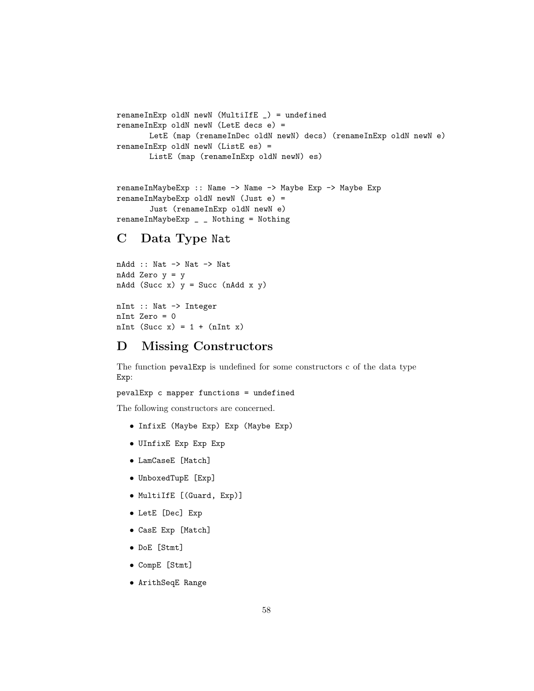```
renameInExp oldN newN (MultiIfE _) = undefined
renameInExp oldN newN (LetE decs e) =
      LetE (map (renameInDec oldN newN) decs) (renameInExp oldN newN e)
renameInExp oldN newN (ListE es) =
      ListE (map (renameInExp oldN newN) es)
```

```
renameInMaybeExp :: Name -> Name -> Maybe Exp -> Maybe Exp
renameInMaybeExp oldN newN (Just e) =
       Just (renameInExp oldN newN e)
renameInMaybeExp _ _ Nothing = Nothing
```
### C Data Type Nat

```
nAdd :: Nat -> Nat -> Nat
nAdd Zero y = y
nAdd (Succ x) y = Succ (nAdd x y)
nInt :: Nat -> Integer
nInt Zero = 0
nInt (Succ x) = 1 + (nInt x)
```
### D Missing Constructors

The function pevalExp is undefined for some constructors c of the data type Exp:

pevalExp c mapper functions = undefined

The following constructors are concerned.

- InfixE (Maybe Exp) Exp (Maybe Exp)
- UInfixE Exp Exp Exp
- LamCaseE [Match]
- UnboxedTupE [Exp]
- MultiIfE [(Guard, Exp)]
- LetE [Dec] Exp
- CasE Exp [Match]
- DoE [Stmt]
- CompE [Stmt]
- ArithSeqE Range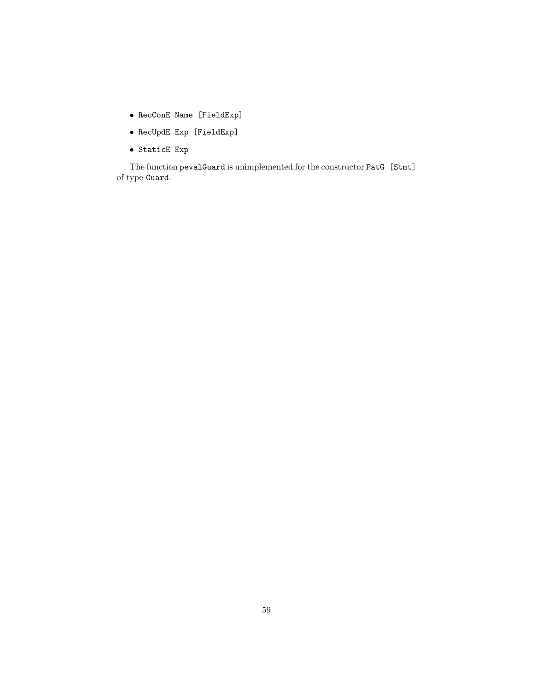- RecConE Name [FieldExp]
- RecUpdE Exp [FieldExp]
- StaticE Exp

The function pevalGuard is unimplemented for the constructor PatG [Stmt] of type Guard.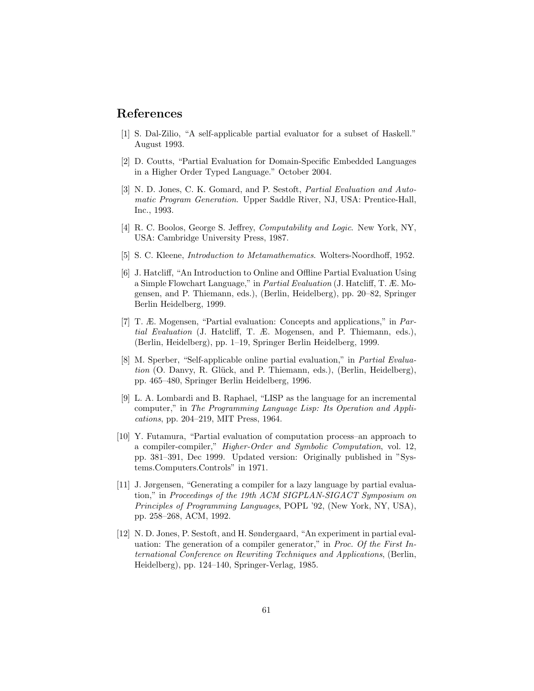### References

- [1] S. Dal-Zilio, "A self-applicable partial evaluator for a subset of Haskell." August 1993.
- [2] D. Coutts, "Partial Evaluation for Domain-Specific Embedded Languages in a Higher Order Typed Language." October 2004.
- [3] N. D. Jones, C. K. Gomard, and P. Sestoft, Partial Evaluation and Automatic Program Generation. Upper Saddle River, NJ, USA: Prentice-Hall, Inc., 1993.
- [4] R. C. Boolos, George S. Jeffrey, Computability and Logic. New York, NY, USA: Cambridge University Press, 1987.
- [5] S. C. Kleene, Introduction to Metamathematics. Wolters-Noordhoff, 1952.
- [6] J. Hatcliff, "An Introduction to Online and Offline Partial Evaluation Using a Simple Flowchart Language," in Partial Evaluation (J. Hatcliff, T. Æ. Mogensen, and P. Thiemann, eds.), (Berlin, Heidelberg), pp. 20–82, Springer Berlin Heidelberg, 1999.
- [7] T. Æ. Mogensen, "Partial evaluation: Concepts and applications," in Partial Evaluation (J. Hatcliff, T. Æ. Mogensen, and P. Thiemann, eds.), (Berlin, Heidelberg), pp. 1–19, Springer Berlin Heidelberg, 1999.
- [8] M. Sperber, "Self-applicable online partial evaluation," in Partial Evaluation (O. Danvy, R. Glück, and P. Thiemann, eds.), (Berlin, Heidelberg), pp. 465–480, Springer Berlin Heidelberg, 1996.
- [9] L. A. Lombardi and B. Raphael, "LISP as the language for an incremental computer," in The Programming Language Lisp: Its Operation and Applications, pp. 204–219, MIT Press, 1964.
- [10] Y. Futamura, "Partial evaluation of computation process–an approach to a compiler-compiler," Higher-Order and Symbolic Computation, vol. 12, pp. 381–391, Dec 1999. Updated version: Originally published in "Systems.Computers.Controls" in 1971.
- [11] J. Jørgensen, "Generating a compiler for a lazy language by partial evaluation," in Proceedings of the 19th ACM SIGPLAN-SIGACT Symposium on Principles of Programming Languages, POPL '92, (New York, NY, USA), pp. 258–268, ACM, 1992.
- [12] N. D. Jones, P. Sestoft, and H. Søndergaard, "An experiment in partial evaluation: The generation of a compiler generator," in Proc. Of the First International Conference on Rewriting Techniques and Applications, (Berlin, Heidelberg), pp. 124–140, Springer-Verlag, 1985.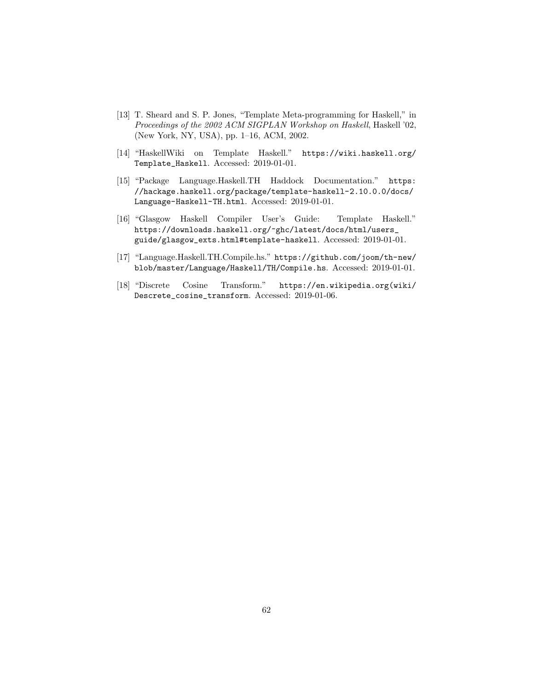- [13] T. Sheard and S. P. Jones, "Template Meta-programming for Haskell," in Proceedings of the 2002 ACM SIGPLAN Workshop on Haskell, Haskell '02, (New York, NY, USA), pp. 1–16, ACM, 2002.
- [14] "HaskellWiki on Template Haskell." https://wiki.haskell.org/ Template\_Haskell. Accessed: 2019-01-01.
- [15] "Package Language.Haskell.TH Haddock Documentation." https: //hackage.haskell.org/package/template-haskell-2.10.0.0/docs/ Language-Haskell-TH.html. Accessed: 2019-01-01.
- [16] "Glasgow Haskell Compiler User's Guide: Template Haskell." https://downloads.haskell.org/~ghc/latest/docs/html/users\_ guide/glasgow\_exts.html#template-haskell. Accessed: 2019-01-01.
- [17] "Language.Haskell.TH.Compile.hs." https://github.com/joom/th-new/ blob/master/Language/Haskell/TH/Compile.hs. Accessed: 2019-01-01.
- [18] "Discrete Cosine Transform." https://en.wikipedia.org(wiki/ Descrete\_cosine\_transform. Accessed: 2019-01-06.